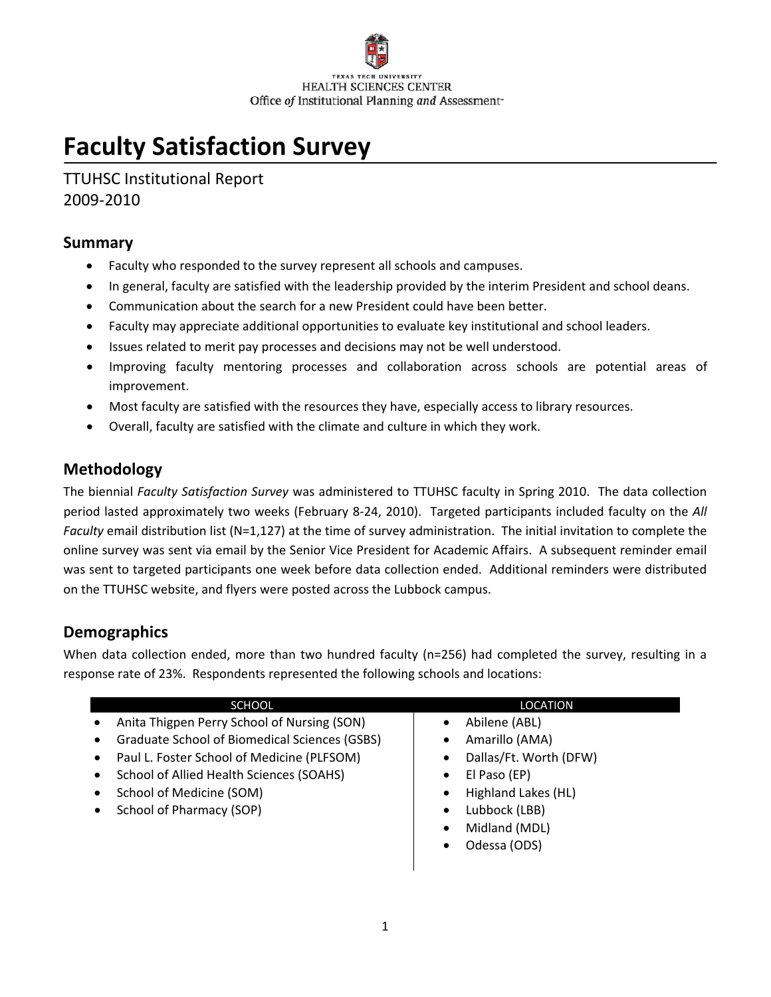# **Faculty Satisfaction Survey**

TTUHSC Institutional Report 2009‐2010

### **Summary**

- Faculty who responded to the survey represent all schools and campuses.
- In general, faculty are satisfied with the leadership provided by the interim President and school deans.
- Communication about the search for a new President could have been better.
- Faculty may appreciate additional opportunities to evaluate key institutional and school leaders.
- Issues related to merit pay processes and decisions may not be well understood.
- Improving faculty mentoring processes and collaboration across schools are potential areas of improvement.
- Most faculty are satisfied with the resources they have, especially access to library resources.
- Overall, faculty are satisfied with the climate and culture in which they work.

## **Methodology**

The biennial *Faculty Satisfaction Survey* was administered to TTUHSC faculty in Spring 2010. The data collection period lasted approximately two weeks (February 8‐24, 2010). Targeted participants included faculty on the *All Faculty* email distribution list (N=1,127) at the time of survey administration. The initial invitation to complete the online survey was sent via email by the Senior Vice President for Academic Affairs. A subsequent reminder email was sent to targeted participants one week before data collection ended. Additional reminders were distributed on the TTUHSC website, and flyers were posted across the Lubbock campus.

## **Demographics**

When data collection ended, more than two hundred faculty (n=256) had completed the survey, resulting in a response rate of 23%. Respondents represented the following schools and locations:

| <b>SCHOOL</b>                                      | LOCATION                   |
|----------------------------------------------------|----------------------------|
| Anita Thigpen Perry School of Nursing (SON)<br>٠   | Abilene (ABL)              |
| Graduate School of Biomedical Sciences (GSBS)<br>٠ | Amarillo (AMA)             |
| Paul L. Foster School of Medicine (PLFSOM)<br>٠    | Dallas/Ft. Worth (DFW)     |
| School of Allied Health Sciences (SOAHS)<br>٠      | El Paso (EP)<br>٠          |
| School of Medicine (SOM)<br>٠                      | Highland Lakes (HL)        |
| School of Pharmacy (SOP)<br>٠                      | Lubbock (LBB)<br>$\bullet$ |
|                                                    | Midland (MDL)              |
|                                                    | Odessa (ODS)               |
|                                                    |                            |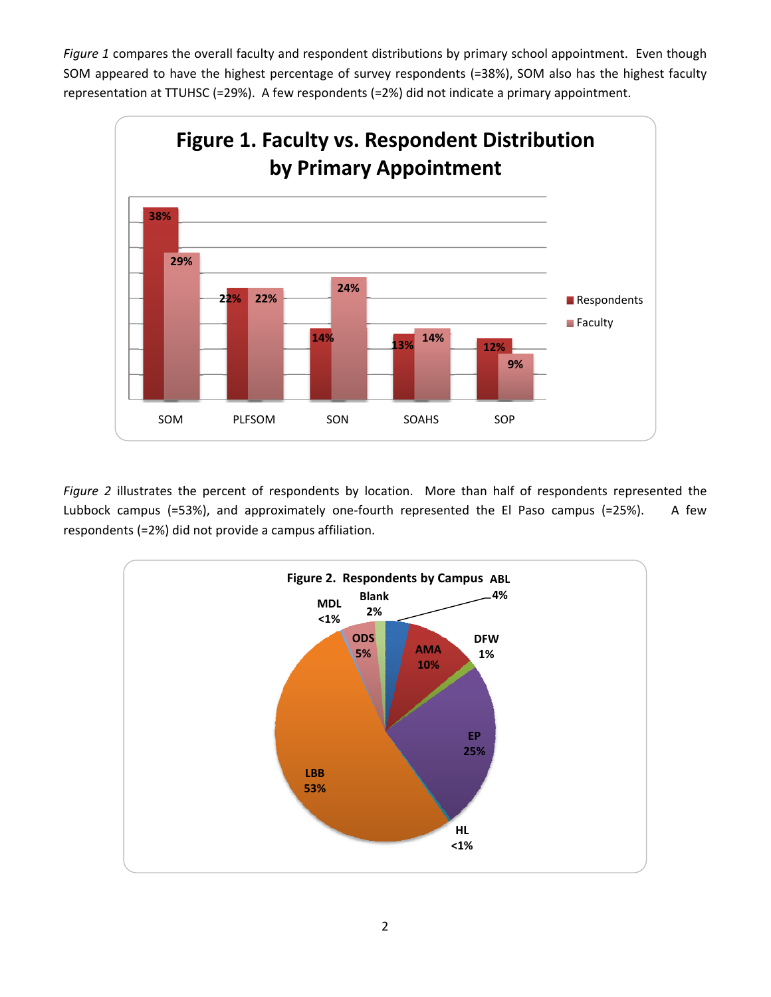*Figure 1* compares the overall faculty and respondent distributions by primary school appointment. Even though SOM appeared to have the highest percentage of survey respondents (=38%), SOM also has the highest faculty representation at TTUHSC (=29%). A few respondents (=2%) did not indicate a primary appointment.



*Figure 2* illustrates the percent of respondents by location. More than half of respondents represented the Lubbock campus (=53%), and approximately one-fourth represented the El Paso campus (=25%). A few respondents (=2%) did not provide a campus affiliation.

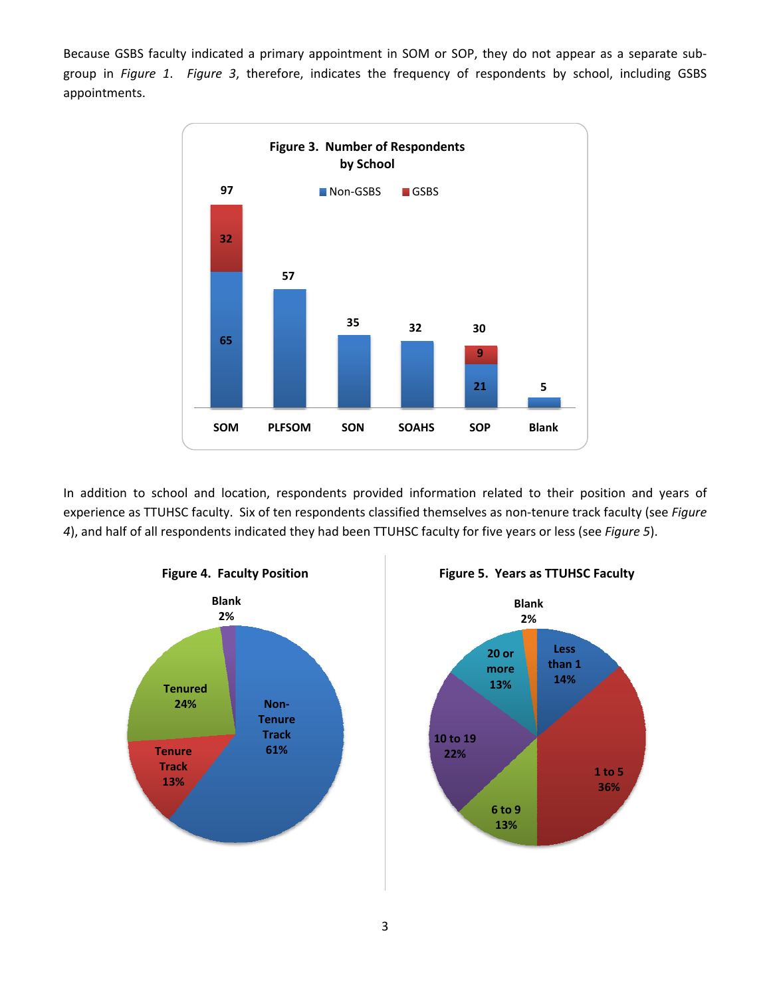Because GSBS faculty indicated a primary appointment in SOM or SOP, they do not appear as a separate sub‐ group in *Figure 1*. *Figure 3*, therefore, indicates the frequency of respondents by school, including GSBS appointments.



In addition to school and location, respondents provided information related to their position and years of experience as TTUHSC faculty. Six of ten respondents classified themselves as non‐tenure track faculty (see *Figure 4*), and half of all respondents indicated they had been TTUHSC faculty for five years or less (see *Figure 5*).





**Figure 5. Years as TTUHSC Faculty**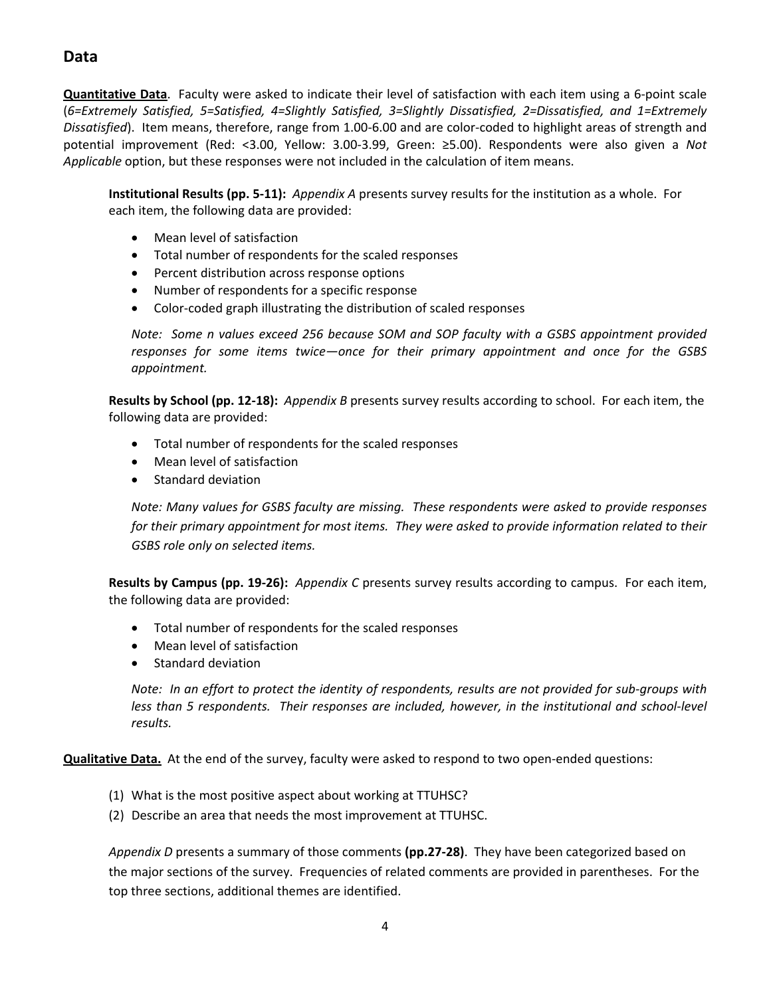## **Data**

**Quantitative Data**. Faculty were asked to indicate their level of satisfaction with each item using a 6‐point scale (*6=Extremely Satisfied, 5=Satisfied, 4=Slightly Satisfied, 3=Slightly Dissatisfied, 2=Dissatisfied, and 1=Extremely Dissatisfied*). Item means, therefore, range from 1.00‐6.00 and are color‐coded to highlight areas of strength and potential improvement (Red: <3.00, Yellow: 3.00‐3.99, Green: ≥5.00). Respondents were also given a *Not Applicable* option, but these responses were not included in the calculation of item means.

**Institutional Results (pp. 5‐11):** *Appendix A* presents survey results for the institution as a whole. For each item, the following data are provided:

- Mean level of satisfaction
- Total number of respondents for the scaled responses
- Percent distribution across response options
- Number of respondents for a specific response
- Color‐coded graph illustrating the distribution of scaled responses

*Note: Some n values exceed 256 because SOM and SOP faculty with a GSBS appointment provided responses for some items twice—once for their primary appointment and once for the GSBS appointment.* 

**Results by School (pp. 12‐18):** *Appendix B* presents survey results according to school. For each item, the following data are provided:

- Total number of respondents for the scaled responses
- Mean level of satisfaction
- Standard deviation

*Note: Many values for GSBS faculty are missing. These respondents were asked to provide responses for their primary appointment for most items. They were asked to provide information related to their GSBS role only on selected items.*

**Results by Campus (pp. 19‐26):** *Appendix C* presents survey results according to campus. For each item, the following data are provided:

- Total number of respondents for the scaled responses
- Mean level of satisfaction
- Standard deviation

Note: In an effort to protect the identity of respondents, results are not provided for sub-groups with *less than 5 respondents. Their responses are included, however, in the institutional and school‐level results.* 

**Qualitative Data.** At the end of the survey, faculty were asked to respond to two open-ended questions:

- (1) What is the most positive aspect about working at TTUHSC?
- (2) Describe an area that needs the most improvement at TTUHSC.

*Appendix D* presents a summary of those comments **(pp.27‐28)**. They have been categorized based on the major sections of the survey. Frequencies of related comments are provided in parentheses. For the top three sections, additional themes are identified.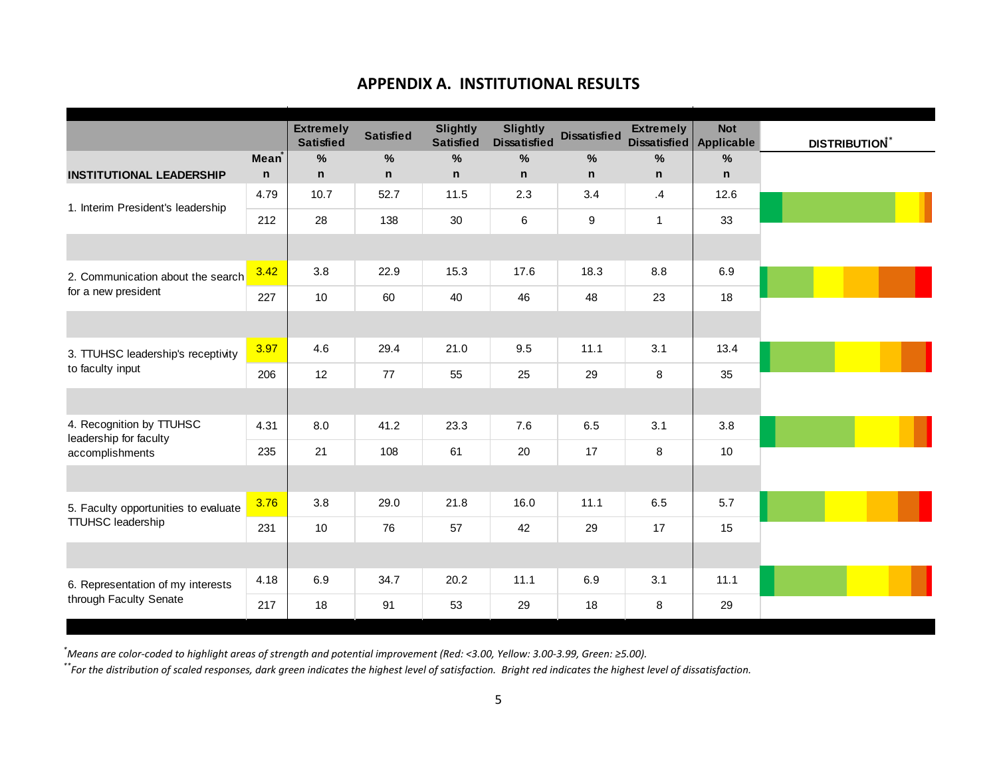## **APPENDIX A. INSTITUTIONAL RESULTS**

|                                                    |                   | <b>Extremely</b><br><b>Satisfied</b> | <b>Satisfied</b> | <b>Slightly</b><br><b>Satisfied</b> | <b>Slightly</b><br><b>Dissatisfied</b> | <b>Dissatisfied</b> | <b>Extremely</b><br>Dissatisfied   Applicable | <b>Not</b>    | <b>DISTRIBUTION*</b> |
|----------------------------------------------------|-------------------|--------------------------------------|------------------|-------------------------------------|----------------------------------------|---------------------|-----------------------------------------------|---------------|----------------------|
|                                                    | Mean <sup>*</sup> | %                                    | $\frac{0}{0}$    | $\frac{9}{6}$                       | $\%$                                   | %                   | $\frac{0}{0}$                                 | $\frac{0}{0}$ |                      |
| <b>INSTITUTIONAL LEADERSHIP</b>                    | $\mathsf{n}$      | n                                    | $\mathbf n$      | $\mathsf{n}$                        | $\mathsf{n}$                           | $\mathsf{n}$        | n                                             | n             |                      |
| 1. Interim President's leadership                  | 4.79              | 10.7                                 | 52.7             | 11.5                                | 2.3                                    | 3.4                 | $\mathbf{.4}$                                 | 12.6          |                      |
|                                                    | 212               | 28                                   | 138              | 30                                  | 6                                      | 9                   | $\mathbf{1}$                                  | 33            |                      |
|                                                    |                   |                                      |                  |                                     |                                        |                     |                                               |               |                      |
| 2. Communication about the search                  | 3.42              | 3.8                                  | 22.9             | 15.3                                | 17.6                                   | 18.3                | 8.8                                           | 6.9           |                      |
| for a new president                                | 227               | 10                                   | 60               | 40                                  | 46                                     | 48                  | 23                                            | 18            |                      |
|                                                    |                   |                                      |                  |                                     |                                        |                     |                                               |               |                      |
| 3. TTUHSC leadership's receptivity                 | 3.97              | 4.6                                  | 29.4             | 21.0                                | 9.5                                    | 11.1                | 3.1                                           | 13.4          |                      |
| to faculty input                                   | 206               | 12                                   | 77               | 55                                  | 25                                     | 29                  | 8                                             | 35            |                      |
|                                                    |                   |                                      |                  |                                     |                                        |                     |                                               |               |                      |
| 4. Recognition by TTUHSC<br>leadership for faculty | 4.31              | 8.0                                  | 41.2             | 23.3                                | 7.6                                    | 6.5                 | 3.1                                           | 3.8           |                      |
| accomplishments                                    | 235               | 21                                   | 108              | 61                                  | 20                                     | 17                  | 8                                             | 10            |                      |
|                                                    |                   |                                      |                  |                                     |                                        |                     |                                               |               |                      |
| 5. Faculty opportunities to evaluate               | 3.76              | 3.8                                  | 29.0             | 21.8                                | 16.0                                   | 11.1                | 6.5                                           | 5.7           |                      |
| <b>TTUHSC leadership</b>                           | 231               | 10                                   | 76               | 57                                  | 42                                     | 29                  | 17                                            | 15            |                      |
|                                                    |                   |                                      |                  |                                     |                                        |                     |                                               |               |                      |
| 6. Representation of my interests                  | 4.18              | 6.9                                  | 34.7             | 20.2                                | 11.1                                   | 6.9                 | 3.1                                           | 11.1          |                      |
| through Faculty Senate                             | 217               | 18                                   | 91               | 53                                  | 29                                     | 18                  | 8                                             | 29            |                      |

.<br>Neans are color-coded to highlight areas of strength and potential improvement (Red: <3.00, Yellow: 3.00-3.99, Green: ≥5.00).

 $\ddot{}$  For the distribution of scaled responses, dark green indicates the highest level of satisfaction. Bright red indicates the highest level of dissatisfaction.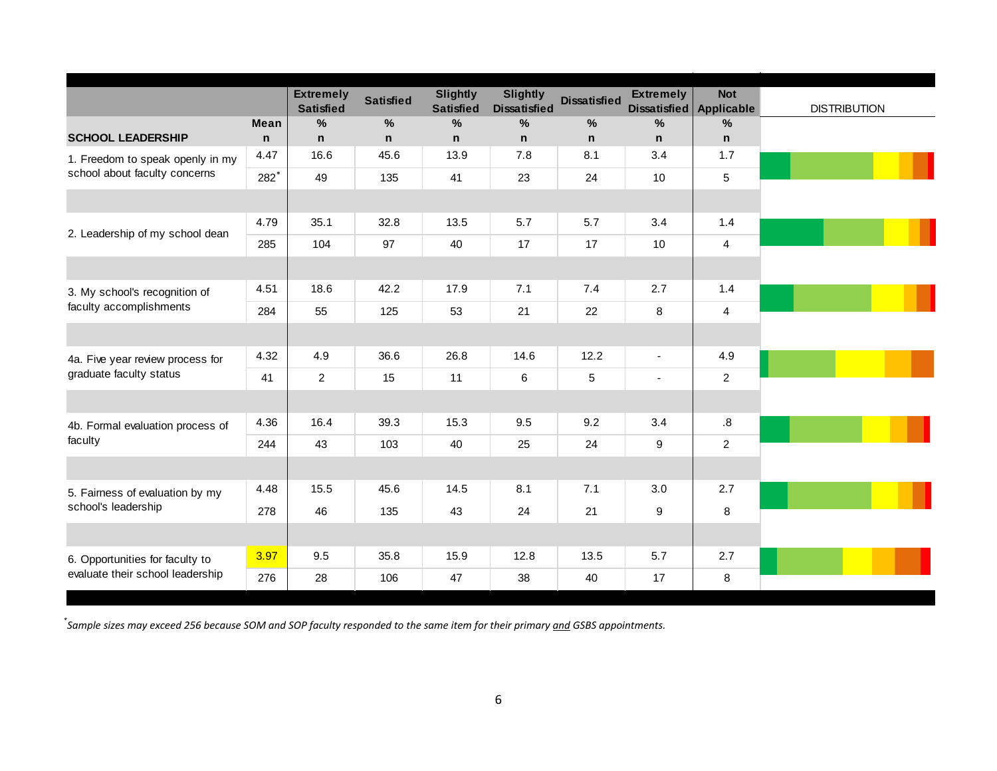|                                  |              | <b>Extremely</b><br><b>Satisfied</b> | <b>Satisfied</b> | <b>Slightly</b><br><b>Satisfied</b> | <b>Slightly</b><br><b>Dissatisfied</b> | <b>Dissatisfied</b> | <b>Extremely</b> | <b>Not</b><br>Dissatisfied   Applicable | <b>DISTRIBUTION</b> |
|----------------------------------|--------------|--------------------------------------|------------------|-------------------------------------|----------------------------------------|---------------------|------------------|-----------------------------------------|---------------------|
|                                  | <b>Mean</b>  | $\frac{9}{6}$                        | %                | %                                   | $\%$                                   | %                   | $\%$             | $\%$                                    |                     |
| <b>SCHOOL LEADERSHIP</b>         | $\mathsf{n}$ | n.                                   | n.               | $\mathbf n$                         | $\mathbf n$                            | $\mathsf{n}$        | $\mathsf{n}$     | $\mathbf n$                             |                     |
| 1. Freedom to speak openly in my | 4.47         | 16.6                                 | 45.6             | 13.9                                | 7.8                                    | 8.1                 | 3.4              | 1.7                                     |                     |
| school about faculty concerns    | $282*$       | 49                                   | 135              | 41                                  | 23                                     | 24                  | 10               | 5                                       |                     |
|                                  |              |                                      |                  |                                     |                                        |                     |                  |                                         |                     |
| 2. Leadership of my school dean  | 4.79         | 35.1                                 | 32.8             | 13.5                                | 5.7                                    | 5.7                 | 3.4              | 1.4                                     |                     |
|                                  | 285          | 104                                  | 97               | 40                                  | 17                                     | 17                  | 10               | $\overline{4}$                          |                     |
|                                  |              |                                      |                  |                                     |                                        |                     |                  |                                         |                     |
| 3. My school's recognition of    | 4.51         | 18.6                                 | 42.2             | 17.9                                | 7.1                                    | 7.4                 | 2.7              | 1.4                                     |                     |
| faculty accomplishments          | 284          | 55                                   | 125              | 53                                  | 21                                     | 22                  | 8                | $\overline{a}$                          |                     |
|                                  |              |                                      |                  |                                     |                                        |                     |                  |                                         |                     |
| 4a. Five year review process for | 4.32         | 4.9                                  | 36.6             | 26.8                                | 14.6                                   | 12.2                | $\blacksquare$   | 4.9                                     |                     |
| graduate faculty status          | 41           | $\overline{2}$                       | 15               | 11                                  | $\,6\,$                                | 5                   | $\blacksquare$   | $\overline{2}$                          |                     |
|                                  |              |                                      |                  |                                     |                                        |                     |                  |                                         |                     |
| 4b. Formal evaluation process of | 4.36         | 16.4                                 | 39.3             | 15.3                                | 9.5                                    | 9.2                 | 3.4              | .8                                      |                     |
| faculty                          | 244          | 43                                   | 103              | 40                                  | 25                                     | 24                  | 9                | $\overline{2}$                          |                     |
|                                  |              |                                      |                  |                                     |                                        |                     |                  |                                         |                     |
| 5. Fairness of evaluation by my  | 4.48         | 15.5                                 | 45.6             | 14.5                                | 8.1                                    | 7.1                 | 3.0              | 2.7                                     |                     |
| school's leadership              | 278          | 46                                   | 135              | 43                                  | 24                                     | 21                  | 9                | 8                                       |                     |
|                                  |              |                                      |                  |                                     |                                        |                     |                  |                                         |                     |
| 6. Opportunities for faculty to  | 3.97         | 9.5                                  | 35.8             | 15.9                                | 12.8                                   | 13.5                | 5.7              | 2.7                                     |                     |
| evaluate their school leadership | 276          | 28                                   | 106              | 47                                  | 38                                     | 40                  | 17               | 8                                       |                     |

\*Sample sizes may exceed 256 because SOM and SOP faculty responded to the same item for their primary and GSBS appointments.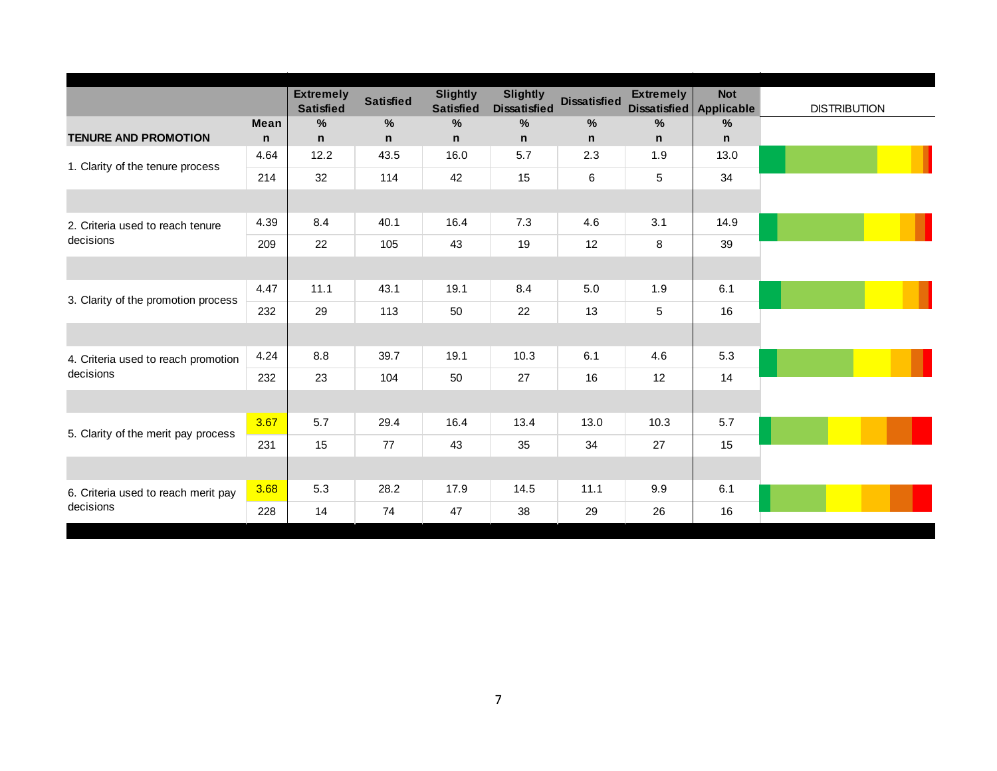|                                     |              | <b>Extremely</b><br><b>Satisfied</b> | <b>Satisfied</b> | <b>Slightly</b><br><b>Satisfied</b> | <b>Slightly</b><br><b>Dissatisfied</b> | <b>Dissatisfied</b> | <b>Extremely</b> | <b>Not</b><br>Dissatisfied Applicable | <b>DISTRIBUTION</b> |
|-------------------------------------|--------------|--------------------------------------|------------------|-------------------------------------|----------------------------------------|---------------------|------------------|---------------------------------------|---------------------|
|                                     | <b>Mean</b>  | $\frac{0}{0}$                        | $\%$             | %                                   | %                                      | %                   | %                | $\%$                                  |                     |
| <b>TENURE AND PROMOTION</b>         | $\mathsf{n}$ | n                                    | n                | $\mathsf{n}$                        | $\mathsf{n}$                           | $\mathsf{n}$        | n                | n.                                    |                     |
| 1. Clarity of the tenure process    | 4.64         | 12.2                                 | 43.5             | 16.0                                | 5.7                                    | 2.3                 | 1.9              | 13.0                                  |                     |
|                                     | 214          | 32                                   | 114              | 42                                  | 15                                     | 6                   | 5                | 34                                    |                     |
|                                     |              |                                      |                  |                                     |                                        |                     |                  |                                       |                     |
| 2. Criteria used to reach tenure    | 4.39         | 8.4                                  | 40.1             | 16.4                                | 7.3                                    | 4.6                 | 3.1              | 14.9                                  |                     |
| decisions                           | 209          | 22                                   | 105              | 43                                  | 19                                     | 12                  | 8                | 39                                    |                     |
|                                     |              |                                      |                  |                                     |                                        |                     |                  |                                       |                     |
|                                     | 4.47         | 11.1                                 | 43.1             | 19.1                                | 8.4                                    | 5.0                 | 1.9              | 6.1                                   |                     |
| 3. Clarity of the promotion process | 232          | 29                                   | 113              | 50                                  | 22                                     | 13                  | 5                | 16                                    |                     |
|                                     |              |                                      |                  |                                     |                                        |                     |                  |                                       |                     |
| 4. Criteria used to reach promotion | 4.24         | 8.8                                  | 39.7             | 19.1                                | 10.3                                   | 6.1                 | 4.6              | 5.3                                   |                     |
| decisions                           | 232          | 23                                   | 104              | 50                                  | 27                                     | 16                  | 12               | 14                                    |                     |
|                                     |              |                                      |                  |                                     |                                        |                     |                  |                                       |                     |
| 5. Clarity of the merit pay process | 3.67         | 5.7                                  | 29.4             | 16.4                                | 13.4                                   | 13.0                | 10.3             | 5.7                                   |                     |
|                                     | 231          | 15                                   | 77               | 43                                  | 35                                     | 34                  | 27               | 15                                    |                     |
|                                     |              |                                      |                  |                                     |                                        |                     |                  |                                       |                     |
| 6. Criteria used to reach merit pay | 3.68         | 5.3                                  | 28.2             | 17.9                                | 14.5                                   | 11.1                | 9.9              | 6.1                                   |                     |
| decisions                           | 228          | 14                                   | 74               | 47                                  | 38                                     | 29                  | 26               | 16                                    |                     |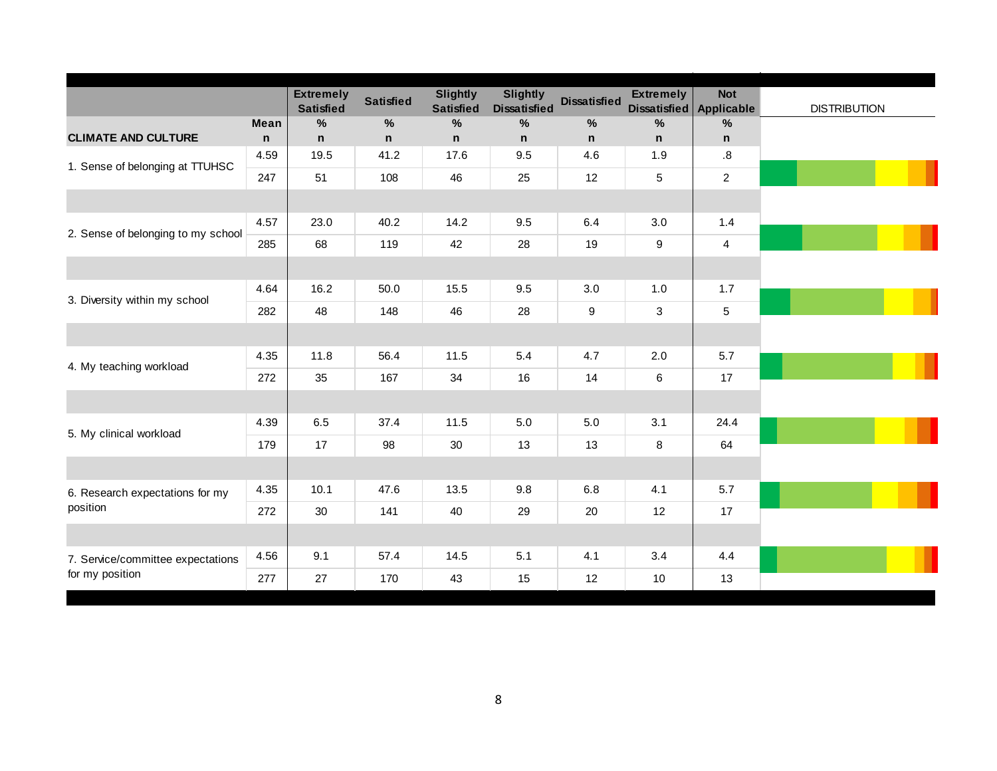|                                    |              | <b>Extremely</b><br><b>Satisfied</b> | <b>Satisfied</b> | <b>Slightly</b><br><b>Satisfied</b> | <b>Slightly</b><br><b>Dissatisfied</b> | <b>Dissatisfied</b> | <b>Extremely</b><br>Dissatisfied | <b>Not</b><br>Applicable | <b>DISTRIBUTION</b> |
|------------------------------------|--------------|--------------------------------------|------------------|-------------------------------------|----------------------------------------|---------------------|----------------------------------|--------------------------|---------------------|
|                                    | <b>Mean</b>  | %                                    | $\frac{0}{0}$    | $\%$                                | %                                      | $\%$                | $\frac{0}{0}$                    | $\%$                     |                     |
| <b>CLIMATE AND CULTURE</b>         | $\mathsf{n}$ | n                                    | $\mathsf{n}$     | $\mathsf{n}$                        | $\mathsf{n}$                           | n                   | $\mathsf{n}$                     | $\mathsf n$              |                     |
| 1. Sense of belonging at TTUHSC    | 4.59         | 19.5                                 | 41.2             | 17.6                                | 9.5                                    | 4.6                 | 1.9                              | .8                       |                     |
|                                    | 247          | 51                                   | 108              | 46                                  | 25                                     | 12                  | 5                                | $\sqrt{2}$               |                     |
|                                    |              |                                      |                  |                                     |                                        |                     |                                  |                          |                     |
|                                    | 4.57         | 23.0                                 | 40.2             | 14.2                                | 9.5                                    | 6.4                 | 3.0                              | 1.4                      |                     |
| 2. Sense of belonging to my school | 285          | 68                                   | 119              | 42                                  | 28                                     | 19                  | 9                                | $\overline{4}$           |                     |
|                                    |              |                                      |                  |                                     |                                        |                     |                                  |                          |                     |
|                                    | 4.64         | 16.2                                 | 50.0             | 15.5                                | 9.5                                    | 3.0                 | 1.0                              | 1.7                      |                     |
| 3. Diversity within my school      | 282          | 48                                   | 148              | 46                                  | 28                                     | 9                   | 3                                | $\,$ 5 $\,$              |                     |
|                                    |              |                                      |                  |                                     |                                        |                     |                                  |                          |                     |
|                                    | 4.35         | 11.8                                 | 56.4             | 11.5                                | 5.4                                    | 4.7                 | 2.0                              | 5.7                      |                     |
| 4. My teaching workload            | 272          | 35                                   | 167              | 34                                  | 16                                     | 14                  | 6                                | 17                       |                     |
|                                    |              |                                      |                  |                                     |                                        |                     |                                  |                          |                     |
| 5. My clinical workload            | 4.39         | 6.5                                  | 37.4             | 11.5                                | 5.0                                    | 5.0                 | 3.1                              | 24.4                     |                     |
|                                    | 179          | 17                                   | 98               | 30                                  | 13                                     | 13                  | 8                                | 64                       |                     |
|                                    |              |                                      |                  |                                     |                                        |                     |                                  |                          |                     |
| 6. Research expectations for my    | 4.35         | 10.1                                 | 47.6             | 13.5                                | 9.8                                    | 6.8                 | 4.1                              | 5.7                      |                     |
| position                           | 272          | 30                                   | 141              | 40                                  | 29                                     | 20                  | 12                               | 17                       |                     |
|                                    |              |                                      |                  |                                     |                                        |                     |                                  |                          |                     |
| 7. Service/committee expectations  | 4.56         | 9.1                                  | 57.4             | 14.5                                | 5.1                                    | 4.1                 | 3.4                              | 4.4                      |                     |
| for my position                    | 277          | 27                                   | 170              | 43                                  | 15                                     | 12                  | 10                               | 13                       |                     |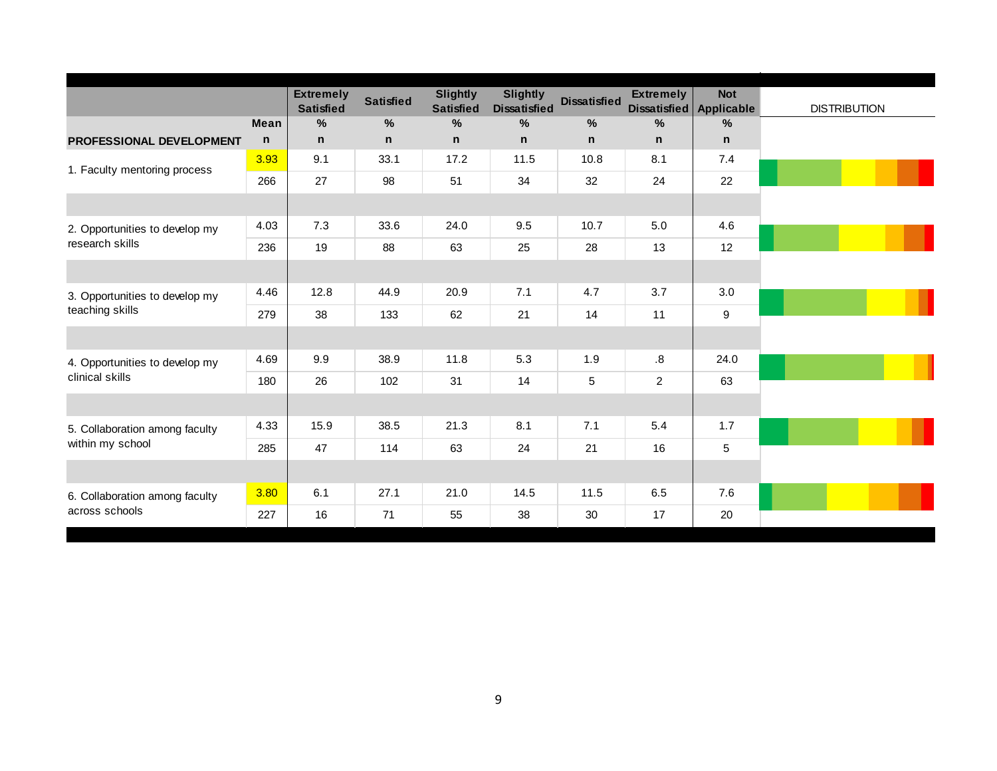| Dissatisfied Applicable<br>$\%$<br>n<br>7.4<br>22 | <b>DISTRIBUTION</b> |
|---------------------------------------------------|---------------------|
|                                                   |                     |
|                                                   |                     |
|                                                   |                     |
|                                                   |                     |
|                                                   |                     |
| 4.6                                               |                     |
| 12                                                |                     |
|                                                   |                     |
| 3.0                                               |                     |
| 9                                                 |                     |
|                                                   |                     |
| 24.0                                              |                     |
| 63                                                |                     |
|                                                   |                     |
| 1.7                                               |                     |
| 5                                                 |                     |
|                                                   |                     |
| 7.6                                               |                     |
| 20                                                |                     |
|                                                   |                     |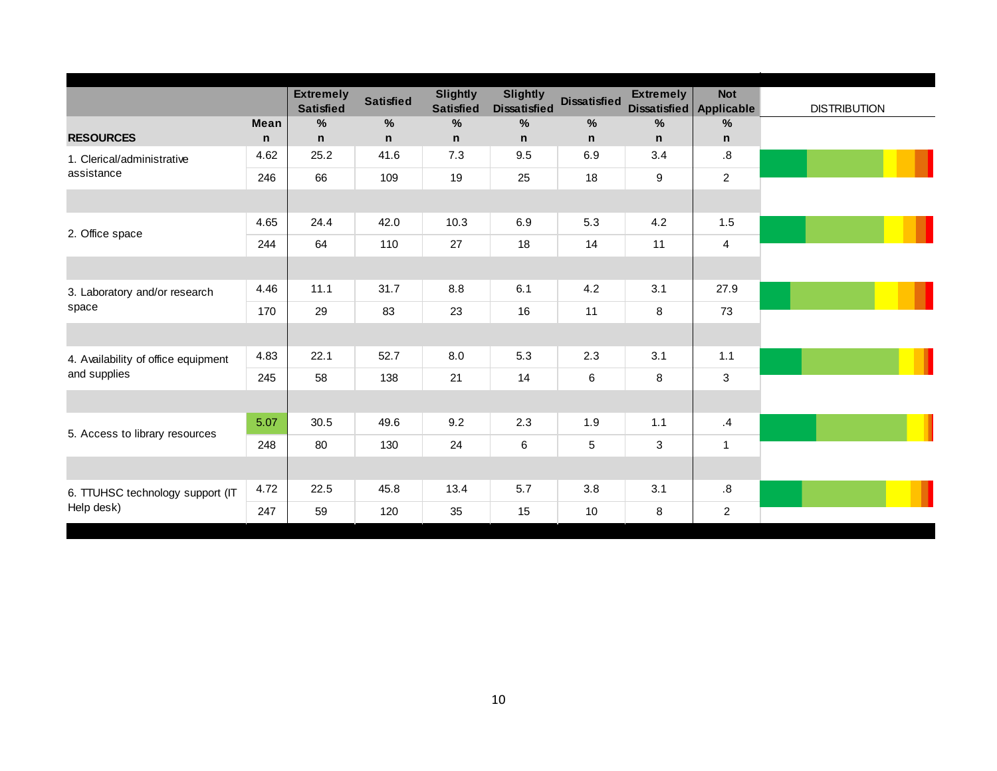|                                     |             | <b>Extremely</b><br><b>Satisfied</b> | <b>Satisfied</b> | <b>Slightly</b><br><b>Satisfied</b> | <b>Slightly</b><br><b>Dissatisfied</b> | <b>Dissatisfied</b> | <b>Extremely</b> | <b>Not</b><br>Dissatisfied Applicable | <b>DISTRIBUTION</b> |
|-------------------------------------|-------------|--------------------------------------|------------------|-------------------------------------|----------------------------------------|---------------------|------------------|---------------------------------------|---------------------|
|                                     | <b>Mean</b> | $\%$                                 | $\%$             | %                                   | $\%$                                   | $\%$                | $\%$             | %                                     |                     |
| <b>RESOURCES</b>                    | $\mathbf n$ | n                                    | n                | n                                   | $\mathsf{n}$                           | $\mathsf{n}$        | n                | $\mathsf{n}$                          |                     |
| 1. Clerical/administrative          | 4.62        | 25.2                                 | 41.6             | 7.3                                 | 9.5                                    | 6.9                 | 3.4              | .8                                    |                     |
| assistance                          | 246         | 66                                   | 109              | 19                                  | 25                                     | 18                  | 9                | $\overline{2}$                        |                     |
|                                     |             |                                      |                  |                                     |                                        |                     |                  |                                       |                     |
| 2. Office space                     | 4.65        | 24.4                                 | 42.0             | 10.3                                | 6.9                                    | 5.3                 | 4.2              | 1.5                                   |                     |
|                                     | 244         | 64                                   | 110              | 27                                  | 18                                     | 14                  | 11               | $\overline{4}$                        |                     |
|                                     |             |                                      |                  |                                     |                                        |                     |                  |                                       |                     |
| 3. Laboratory and/or research       | 4.46        | 11.1                                 | 31.7             | 8.8                                 | 6.1                                    | 4.2                 | 3.1              | 27.9                                  |                     |
| space                               | 170         | 29                                   | 83               | 23                                  | 16                                     | 11                  | 8                | 73                                    |                     |
|                                     |             |                                      |                  |                                     |                                        |                     |                  |                                       |                     |
| 4. Availability of office equipment | 4.83        | 22.1                                 | 52.7             | 8.0                                 | 5.3                                    | 2.3                 | 3.1              | 1.1                                   |                     |
| and supplies                        | 245         | 58                                   | 138              | 21                                  | 14                                     | 6                   | 8                | $\mathbf{3}$                          |                     |
|                                     |             |                                      |                  |                                     |                                        |                     |                  |                                       |                     |
| 5. Access to library resources      | 5.07        | 30.5                                 | 49.6             | 9.2                                 | 2.3                                    | 1.9                 | 1.1              | .4                                    |                     |
|                                     | 248         | 80                                   | 130              | 24                                  | $\,6\,$                                | 5                   | 3                | $\overline{1}$                        |                     |
|                                     |             |                                      |                  |                                     |                                        |                     |                  |                                       |                     |
| 6. TTUHSC technology support (IT    | 4.72        | 22.5                                 | 45.8             | 13.4                                | 5.7                                    | 3.8                 | 3.1              | $\boldsymbol{.8}$                     |                     |
| Help desk)                          | 247         | 59                                   | 120              | 35                                  | 15                                     | 10                  | 8                | $\overline{c}$                        |                     |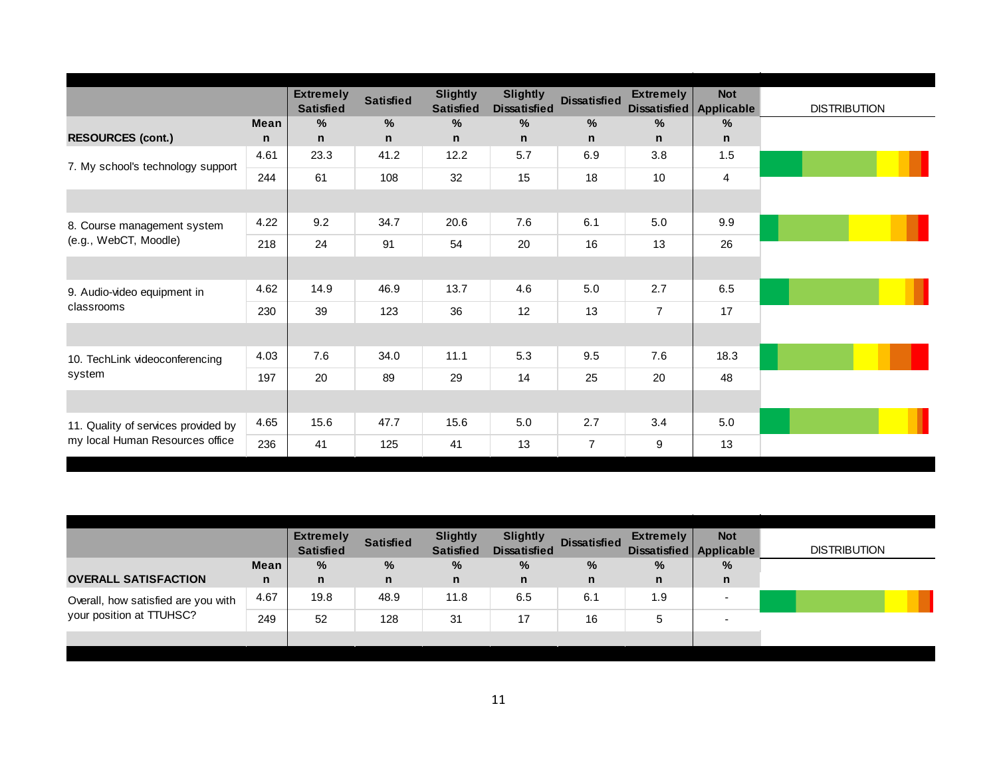|                                     |              | <b>Extremely</b><br><b>Satisfied</b> | <b>Satisfied</b> | <b>Slightly</b><br><b>Satisfied</b> | <b>Slightly</b><br><b>Dissatisfied</b> | <b>Dissatisfied</b> | <b>Extremely</b><br>Dissatisfied | <b>Not</b><br>Applicable | <b>DISTRIBUTION</b> |
|-------------------------------------|--------------|--------------------------------------|------------------|-------------------------------------|----------------------------------------|---------------------|----------------------------------|--------------------------|---------------------|
|                                     | <b>Mean</b>  | $\%$                                 | %                | %                                   | $\%$                                   | %                   | %                                | $\%$                     |                     |
| <b>RESOURCES (cont.)</b>            | $\mathsf{n}$ | n                                    | n                | $\mathsf{n}$                        | $\mathsf{n}$                           | n                   | n                                | n                        |                     |
| 7. My school's technology support   | 4.61         | 23.3                                 | 41.2             | 12.2                                | 5.7                                    | 6.9                 | 3.8                              | 1.5                      |                     |
|                                     | 244          | 61                                   | 108              | 32                                  | 15                                     | 18                  | 10                               | $\overline{4}$           |                     |
|                                     |              |                                      |                  |                                     |                                        |                     |                                  |                          |                     |
| 8. Course management system         | 4.22         | 9.2                                  | 34.7             | 20.6                                | 7.6                                    | 6.1                 | 5.0                              | 9.9                      |                     |
| (e.g., WebCT, Moodle)               | 218          | 24                                   | 91               | 54                                  | 20                                     | 16                  | 13                               | 26                       |                     |
|                                     |              |                                      |                  |                                     |                                        |                     |                                  |                          |                     |
| 9. Audio-video equipment in         | 4.62         | 14.9                                 | 46.9             | 13.7                                | 4.6                                    | 5.0                 | 2.7                              | 6.5                      |                     |
| classrooms                          | 230          | 39                                   | 123              | 36                                  | 12                                     | 13                  | $\overline{7}$                   | 17                       |                     |
|                                     |              |                                      |                  |                                     |                                        |                     |                                  |                          |                     |
| 10. TechLink videoconferencing      | 4.03         | 7.6                                  | 34.0             | 11.1                                | 5.3                                    | 9.5                 | 7.6                              | 18.3                     |                     |
| system                              | 197          | 20                                   | 89               | 29                                  | 14                                     | 25                  | 20                               | 48                       |                     |
|                                     |              |                                      |                  |                                     |                                        |                     |                                  |                          |                     |
| 11. Quality of services provided by | 4.65         | 15.6                                 | 47.7             | 15.6                                | 5.0                                    | 2.7                 | 3.4                              | 5.0                      |                     |
| my local Human Resources office     | 236          | 41                                   | 125              | 41                                  | 13                                     | $\overline{7}$      | 9                                | 13                       |                     |

|                                     |      | <b>Extremely</b><br><b>Satisfied</b> | <b>Satisfied</b> | <b>Slightly</b><br><b>Satisfied</b> | <b>Slightly</b><br><b>Dissatisfied</b> | <b>Dissatisfied</b> | <b>Extremely</b> | <b>Not</b><br>Dissatisfied Applicable | <b>DISTRIBUTION</b> |  |
|-------------------------------------|------|--------------------------------------|------------------|-------------------------------------|----------------------------------------|---------------------|------------------|---------------------------------------|---------------------|--|
|                                     | Mean | %                                    | %                | %                                   | %                                      | %                   | %                | %                                     |                     |  |
| <b>OVERALL SATISFACTION</b>         | n    | n                                    | $\mathsf{n}$     | $\mathbf n$                         | $\mathsf{n}$                           | $\mathsf{n}$        | n.               | n                                     |                     |  |
| Overall, how satisfied are you with | 4.67 | 19.8                                 | 48.9             | 11.8                                | 6.5                                    | 6.1                 | 1.9              |                                       |                     |  |
| your position at TTUHSC?            | 249  | 52                                   | 128              | 31                                  | 17                                     | 16                  | 5                |                                       |                     |  |
|                                     |      |                                      |                  |                                     |                                        |                     |                  |                                       |                     |  |
|                                     |      |                                      |                  |                                     |                                        |                     |                  |                                       |                     |  |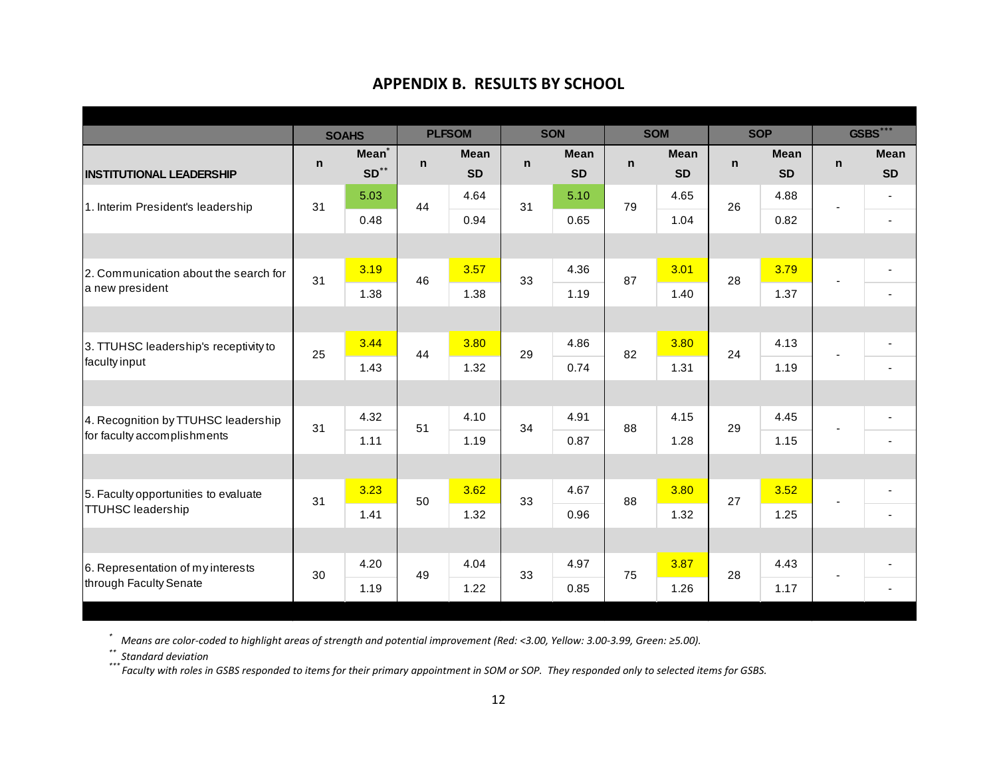## **APPENDIX B. RESULTS BY SCHOOL**

|                                       |    | <b>SOAHS</b>      |              | <b>PLFSOM</b> |             | <b>SON</b>  |             | <b>SOM</b>  |              | <b>SOP</b>  |              | <b>GSBS***</b>           |
|---------------------------------------|----|-------------------|--------------|---------------|-------------|-------------|-------------|-------------|--------------|-------------|--------------|--------------------------|
|                                       | n  | Mean <sup>*</sup> | $\mathsf{n}$ | <b>Mean</b>   | $\mathbf n$ | <b>Mean</b> | $\mathbf n$ | <b>Mean</b> | $\mathsf{n}$ | <b>Mean</b> | $\mathsf{n}$ | <b>Mean</b>              |
| <b>INSTITUTIONAL LEADERSHIP</b>       |    | $SD**$            |              | <b>SD</b>     |             | <b>SD</b>   |             | <b>SD</b>   |              | <b>SD</b>   |              | <b>SD</b>                |
| 1. Interim President's leadership     | 31 | 5.03              | 44           | 4.64          | 31          | 5.10        | 79          | 4.65        | 26           | 4.88        |              | ٠                        |
|                                       |    | 0.48              |              | 0.94          |             | 0.65        |             | 1.04        |              | 0.82        |              | $\blacksquare$           |
|                                       |    |                   |              |               |             |             |             |             |              |             |              |                          |
| 2. Communication about the search for | 31 | 3.19              | 46           | 3.57          | 33          | 4.36        | 87          | 3.01        | 28           | 3.79        |              | ٠                        |
| a new president                       |    | 1.38              |              | 1.38          |             | 1.19        |             | 1.40        |              | 1.37        |              | ٠                        |
|                                       |    |                   |              |               |             |             |             |             |              |             |              |                          |
| 3. TTUHSC leadership's receptivity to | 25 | 3.44              | 44           | 3.80          | 29          | 4.86        | 82          | 3.80        | 24           | 4.13        |              | $\overline{\phantom{a}}$ |
| faculty input                         |    | 1.43              |              | 1.32          |             | 0.74        |             | 1.31        |              | 1.19        |              | $\overline{\phantom{a}}$ |
|                                       |    |                   |              |               |             |             |             |             |              |             |              |                          |
| 4. Recognition by TTUHSC leadership   | 31 | 4.32              | 51           | 4.10          | 34          | 4.91        | 88          | 4.15        | 29           | 4.45        |              | ٠                        |
| for faculty accomplishments           |    | 1.11              |              | 1.19          |             | 0.87        |             | 1.28        |              | 1.15        |              |                          |
|                                       |    |                   |              |               |             |             |             |             |              |             |              |                          |
| 5. Faculty opportunities to evaluate  | 31 | 3.23              | 50           | 3.62          | 33          | 4.67        | 88          | 3.80        | 27           | 3.52        |              | $\overline{\phantom{0}}$ |
| <b>TTUHSC leadership</b>              |    | 1.41              |              | 1.32          |             | 0.96        |             | 1.32        |              | 1.25        |              | $\blacksquare$           |
|                                       |    |                   |              |               |             |             |             |             |              |             |              |                          |
| 6. Representation of my interests     | 30 | 4.20              |              | 4.04          |             | 4.97        |             | 3.87        |              | 4.43        |              |                          |
| through Faculty Senate                |    | 1.19              | 49           | 1.22          | 33          | 0.85        | 75          | 1.26        | 28           | 1.17        |              | $\blacksquare$           |
|                                       |    |                   |              |               |             |             |             |             |              |             |              |                          |

\* Means are color-coded to highlight areas of strength and potential improvement (Red: <3.00, Yellow: 3.00-3.99, Green: ≥5.00).<br>\*\* Standard deviation<br>\*\*\* Faculty with roles in GSBS responded to items for their primary app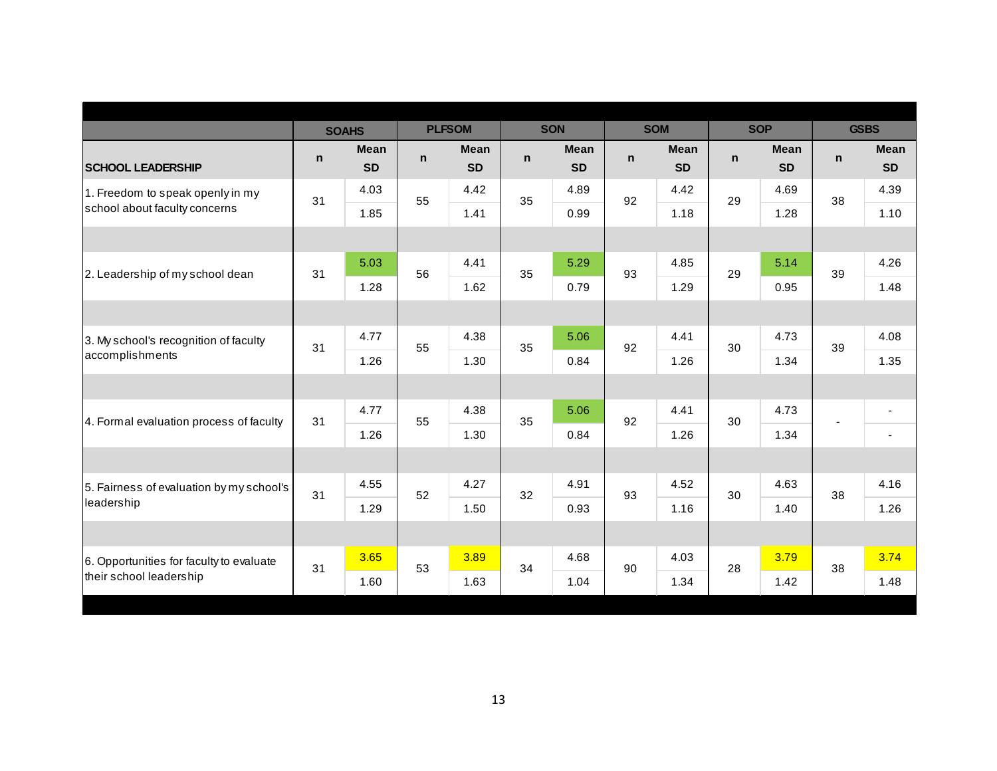| <b>SOAHS</b><br><b>Mean</b> |               |                                  |              |                                  |             |                                  |              |                                  |              |                            |
|-----------------------------|---------------|----------------------------------|--------------|----------------------------------|-------------|----------------------------------|--------------|----------------------------------|--------------|----------------------------|
|                             | <b>PLFSOM</b> |                                  | <b>SON</b>   |                                  | <b>SOM</b>  |                                  | <b>SOP</b>   |                                  | <b>GSBS</b>  |                            |
| <b>SD</b>                   | n.            | <b>Mean</b><br><b>SD</b>         | $\mathsf{n}$ | <b>Mean</b><br><b>SD</b>         | $\mathbf n$ | <b>Mean</b><br><b>SD</b>         | $\mathsf{n}$ | <b>Mean</b><br><b>SD</b>         | $\mathsf{n}$ | <b>Mean</b><br><b>SD</b>   |
| 4.03                        |               | 4.42                             |              | 4.89                             |             | 4.42                             |              | 4.69                             |              | 4.39                       |
| 1.85                        |               | 1.41                             |              | 0.99                             |             | 1.18                             |              | 1.28                             |              | 1.10                       |
|                             |               |                                  |              |                                  |             |                                  |              |                                  |              |                            |
| 5.03                        |               | 4.41                             |              | 5.29                             |             | 4.85                             |              | 5.14                             |              | 4.26                       |
| 1.28                        |               | 1.62                             |              | 0.79                             |             | 1.29                             |              | 0.95                             |              | 1.48                       |
|                             |               |                                  |              |                                  |             |                                  |              |                                  |              |                            |
| 4.77                        |               | 4.38                             |              | 5.06                             |             | 4.41                             |              | 4.73                             |              | 4.08                       |
| 1.26                        |               | 1.30                             |              | 0.84                             |             | 1.26                             |              | 1.34                             |              | 1.35                       |
|                             |               |                                  |              |                                  |             |                                  |              |                                  |              |                            |
| 4.77                        |               | 4.38                             |              | 5.06                             |             | 4.41                             |              | 4.73                             |              | $\overline{\phantom{a}}$   |
| 1.26                        |               | 1.30                             |              | 0.84                             |             | 1.26                             |              | 1.34                             |              | $\sim$                     |
|                             |               |                                  |              |                                  |             |                                  |              |                                  |              |                            |
| 4.55                        |               | 4.27                             |              | 4.91                             |             | 4.52                             |              | 4.63                             |              | 4.16                       |
| 1.29                        |               | 1.50                             |              | 0.93                             |             | 1.16                             |              | 1.40                             |              | 1.26                       |
|                             |               |                                  |              |                                  |             |                                  |              |                                  |              |                            |
| 3.65                        |               | 3.89                             |              | 4.68                             |             | 4.03                             |              | 3.79                             |              | 3.74                       |
| 1.60                        |               | 1.63                             |              | 1.04                             |             | 1.34                             |              | 1.42                             |              | 1.48                       |
|                             |               | 55<br>56<br>55<br>55<br>52<br>53 |              | 35<br>35<br>35<br>35<br>32<br>34 |             | 92<br>93<br>92<br>92<br>93<br>90 |              | 29<br>29<br>30<br>30<br>30<br>28 |              | 38<br>39<br>39<br>38<br>38 |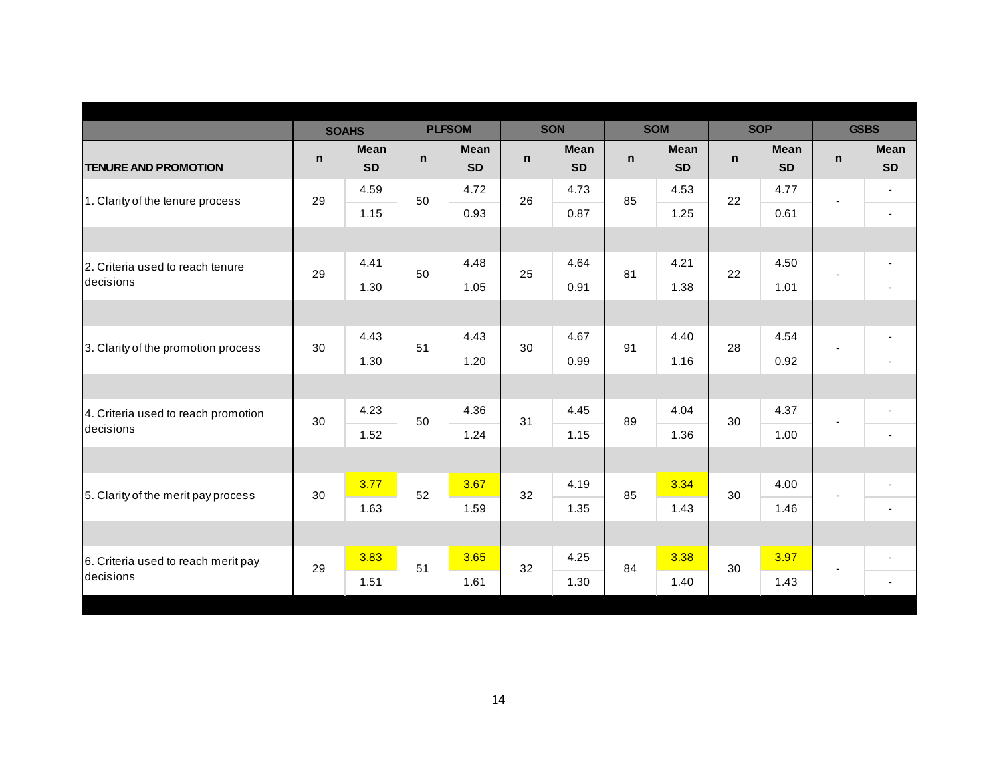|                                     |              | <b>SOAHS</b>             |    | <b>PLFSOM</b>            |    | <b>SON</b>               |              | <b>SOM</b>               |              | <b>SOP</b>               | <b>GSBS</b> |                          |
|-------------------------------------|--------------|--------------------------|----|--------------------------|----|--------------------------|--------------|--------------------------|--------------|--------------------------|-------------|--------------------------|
| <b>TENURE AND PROMOTION</b>         | $\mathsf{n}$ | <b>Mean</b><br><b>SD</b> | n  | <b>Mean</b><br><b>SD</b> | n  | <b>Mean</b><br><b>SD</b> | $\mathsf{n}$ | <b>Mean</b><br><b>SD</b> | $\mathsf{n}$ | <b>Mean</b><br><b>SD</b> | n           | <b>Mean</b><br><b>SD</b> |
| 1. Clarity of the tenure process    | 29           | 4.59                     | 50 | 4.72                     | 26 | 4.73                     | 85           | 4.53                     | 22           | 4.77                     | ÷           | $\blacksquare$           |
|                                     |              | 1.15                     |    | 0.93                     |    | 0.87                     |              | 1.25                     |              | 0.61                     |             | $\blacksquare$           |
|                                     |              |                          |    |                          |    |                          |              |                          |              |                          |             |                          |
| 2. Criteria used to reach tenure    | 29           | 4.41                     | 50 | 4.48                     | 25 | 4.64                     | 81           | 4.21                     | 22           | 4.50                     |             | $\overline{\phantom{a}}$ |
| decisions                           |              | 1.30                     |    | 1.05                     |    | 0.91                     |              | 1.38                     |              | 1.01                     |             | $\blacksquare$           |
|                                     |              |                          |    |                          |    |                          |              |                          |              |                          |             |                          |
| 3. Clarity of the promotion process | 30           | 4.43                     | 51 | 4.43                     | 30 | 4.67                     | 91           | 4.40                     | 28           | 4.54                     |             | $\overline{\phantom{a}}$ |
|                                     |              | 1.30                     |    | 1.20                     |    | 0.99                     |              | 1.16                     |              | 0.92                     |             | $\blacksquare$           |
|                                     |              |                          |    |                          |    |                          |              |                          |              |                          |             |                          |
| 4. Criteria used to reach promotion | 30           | 4.23                     | 50 | 4.36                     | 31 | 4.45                     | 89           | 4.04                     | 30           | 4.37                     |             | $\blacksquare$           |
| decisions                           |              | 1.52                     |    | 1.24                     |    | 1.15                     |              | 1.36                     |              | 1.00                     |             | $\sim$                   |
|                                     |              |                          |    |                          |    |                          |              |                          |              |                          |             |                          |
| 5. Clarity of the merit pay process | 30           | 3.77                     | 52 | 3.67                     | 32 | 4.19                     | 85           | 3.34                     | 30           | 4.00                     |             | $\blacksquare$           |
|                                     |              | 1.63                     |    | 1.59                     |    | 1.35                     |              | 1.43                     |              | 1.46                     |             | $\overline{\phantom{a}}$ |
|                                     |              |                          |    |                          |    |                          |              |                          |              |                          |             |                          |
| 6. Criteria used to reach merit pay | 29           | 3.83                     | 51 | 3.65                     | 32 | 4.25                     | 84           | 3.38                     | 30           | 3.97                     |             | $\overline{\phantom{a}}$ |
| decisions                           |              | 1.51                     |    | 1.61                     |    | 1.30                     |              | 1.40                     |              | 1.43                     |             | $\blacksquare$           |
|                                     |              |                          |    |                          |    |                          |              |                          |              |                          |             |                          |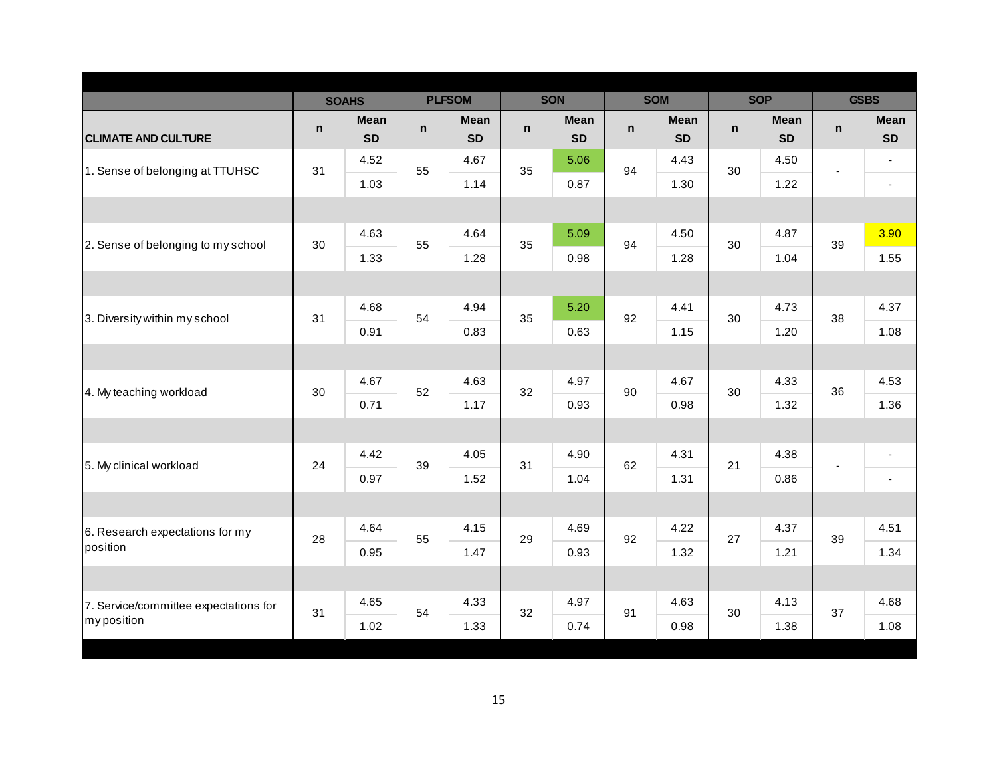|                                       |    | <b>SOAHS</b>             |    | <b>PLFSOM</b>            |    | <b>SON</b>               | <b>SOM</b> |                          |             | <b>SOP</b>               |              | <b>GSBS</b>              |
|---------------------------------------|----|--------------------------|----|--------------------------|----|--------------------------|------------|--------------------------|-------------|--------------------------|--------------|--------------------------|
| <b>CLIMATE AND CULTURE</b>            | n  | <b>Mean</b><br><b>SD</b> | n  | <b>Mean</b><br><b>SD</b> | n  | <b>Mean</b><br><b>SD</b> | n          | <b>Mean</b><br><b>SD</b> | $\mathbf n$ | <b>Mean</b><br><b>SD</b> | $\mathsf{n}$ | <b>Mean</b><br><b>SD</b> |
| 1. Sense of belonging at TTUHSC       | 31 | 4.52                     | 55 | 4.67                     | 35 | 5.06                     | 94         | 4.43                     | 30          | 4.50                     |              | $\blacksquare$           |
|                                       |    | 1.03                     |    | 1.14                     |    | 0.87                     |            | 1.30                     |             | 1.22                     | ÷,           | $\blacksquare$           |
|                                       |    |                          |    |                          |    |                          |            |                          |             |                          |              |                          |
| 2. Sense of belonging to my school    | 30 | 4.63                     | 55 | 4.64                     | 35 | 5.09                     | 94         | 4.50                     | 30          | 4.87                     | 39           | 3.90                     |
|                                       |    | 1.33                     |    | 1.28                     |    | 0.98                     |            | 1.28                     |             | 1.04                     |              | 1.55                     |
|                                       |    |                          |    |                          |    |                          |            |                          |             |                          |              |                          |
| 3. Diversity within my school         | 31 | 4.68                     | 54 | 4.94                     | 35 | 5.20                     | 92         | 4.41                     | 30          | 4.73                     | 38           | 4.37                     |
|                                       |    | 0.91                     |    | 0.83                     |    | 0.63                     |            | 1.15                     |             | 1.20                     |              | 1.08                     |
|                                       |    |                          |    |                          |    |                          |            |                          |             |                          |              |                          |
| 4. My teaching workload               | 30 | 4.67                     | 52 | 4.63                     | 32 | 4.97                     | 90         | 4.67                     | 30          | 4.33                     | 36           | 4.53                     |
|                                       |    | 0.71                     |    | 1.17                     |    | 0.93                     |            | 0.98                     |             | 1.32                     |              | 1.36                     |
|                                       |    |                          |    |                          |    |                          |            |                          |             |                          |              |                          |
| 5. My clinical workload               | 24 | 4.42                     | 39 | 4.05                     | 31 | 4.90                     | 62         | 4.31                     | 21          | 4.38                     |              | $\overline{\phantom{a}}$ |
|                                       |    | 0.97                     |    | 1.52                     |    | 1.04                     |            | 1.31                     |             | 0.86                     |              | $\blacksquare$           |
|                                       |    |                          |    |                          |    |                          |            |                          |             |                          |              |                          |
| 6. Research expectations for my       | 28 | 4.64                     | 55 | 4.15                     | 29 | 4.69                     | 92         | 4.22                     | 27          | 4.37                     | 39           | 4.51                     |
| position                              |    | 0.95                     |    | 1.47                     |    | 0.93                     |            | 1.32                     |             | 1.21                     |              | 1.34                     |
|                                       |    |                          |    |                          |    |                          |            |                          |             |                          |              |                          |
| 7. Service/committee expectations for | 31 | 4.65                     | 54 | 4.33                     | 32 | 4.97                     | 91         | 4.63                     | 30          | 4.13                     | 37           | 4.68                     |
| myposition                            |    | 1.02                     |    | 1.33                     |    | 0.74                     |            | 0.98                     |             | 1.38                     |              | 1.08                     |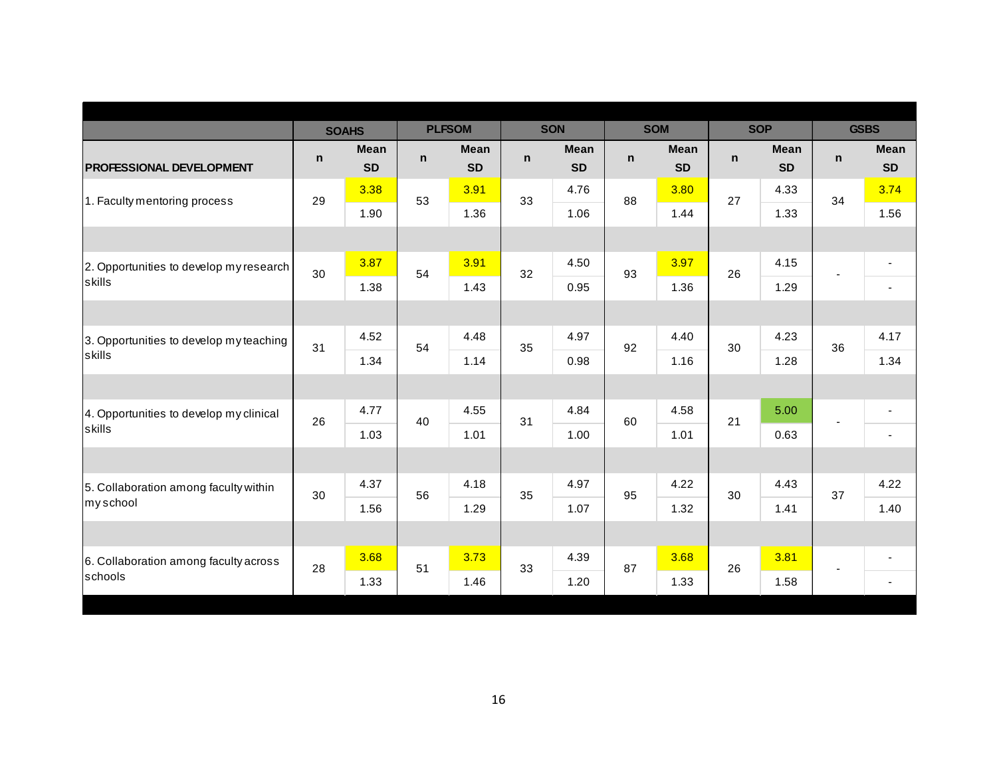|              |                                  |              |                                  |               |                                  |              |                                  |              |                                  |              | <b>GSBS</b>              |
|--------------|----------------------------------|--------------|----------------------------------|---------------|----------------------------------|--------------|----------------------------------|--------------|----------------------------------|--------------|--------------------------|
| $\mathsf{n}$ | <b>Mean</b><br><b>SD</b>         | $\mathsf{n}$ | <b>Mean</b><br><b>SD</b>         | $\mathsf{n}$  | <b>Mean</b><br><b>SD</b>         | $\mathsf{n}$ | <b>Mean</b><br><b>SD</b>         | $\mathsf{n}$ | <b>Mean</b><br><b>SD</b>         | $\mathsf{n}$ | <b>Mean</b><br><b>SD</b> |
|              | 3.38                             |              | 3.91                             |               | 4.76                             |              | 3.80                             |              | 4.33                             |              | 3.74                     |
|              | 1.90                             |              | 1.36                             |               | 1.06                             |              | 1.44                             |              | 1.33                             |              | 1.56                     |
|              |                                  |              |                                  |               |                                  |              |                                  |              |                                  |              |                          |
|              | 3.87                             |              | 3.91                             |               | 4.50                             |              | 3.97                             |              | 4.15                             | ä,           | $\overline{\phantom{a}}$ |
|              | 1.38                             |              | 1.43                             |               | 0.95                             |              | 1.36                             |              | 1.29                             |              | $\overline{\phantom{a}}$ |
|              |                                  |              |                                  |               |                                  |              |                                  |              |                                  |              |                          |
|              | 4.52                             |              | 4.48                             |               | 4.97                             |              | 4.40                             |              | 4.23                             |              | 4.17                     |
|              | 1.34                             |              | 1.14                             |               | 0.98                             |              | 1.16                             |              | 1.28                             |              | 1.34                     |
|              |                                  |              |                                  |               |                                  |              |                                  |              |                                  |              |                          |
|              | 4.77                             |              | 4.55                             |               | 4.84                             |              | 4.58                             |              | 5.00                             |              | $\overline{\phantom{a}}$ |
|              | 1.03                             |              | 1.01                             |               | 1.00                             |              | 1.01                             |              | 0.63                             |              | $\sim$                   |
|              |                                  |              |                                  |               |                                  |              |                                  |              |                                  |              |                          |
|              | 4.37                             |              | 4.18                             |               | 4.97                             |              | 4.22                             |              | 4.43                             |              | 4.22                     |
|              | 1.56                             |              | 1.29                             |               | 1.07                             |              | 1.32                             |              | 1.41                             |              | 1.40                     |
|              |                                  |              |                                  |               |                                  |              |                                  |              |                                  |              |                          |
|              | 3.68                             |              | 3.73                             |               | 4.39                             |              | 3.68                             |              | 3.81                             | ٠            | $\overline{\phantom{0}}$ |
|              | 1.33                             |              | 1.46                             |               | 1.20                             |              | 1.33                             |              | 1.58                             |              | $\overline{\phantom{a}}$ |
|              | 29<br>30<br>31<br>26<br>30<br>28 | <b>SOAHS</b> | 53<br>54<br>54<br>40<br>56<br>51 | <b>PLFSOM</b> | 33<br>32<br>35<br>31<br>35<br>33 | <b>SON</b>   | 88<br>93<br>92<br>60<br>95<br>87 | <b>SOM</b>   | 27<br>26<br>30<br>21<br>30<br>26 | <b>SOP</b>   | 34<br>36<br>37           |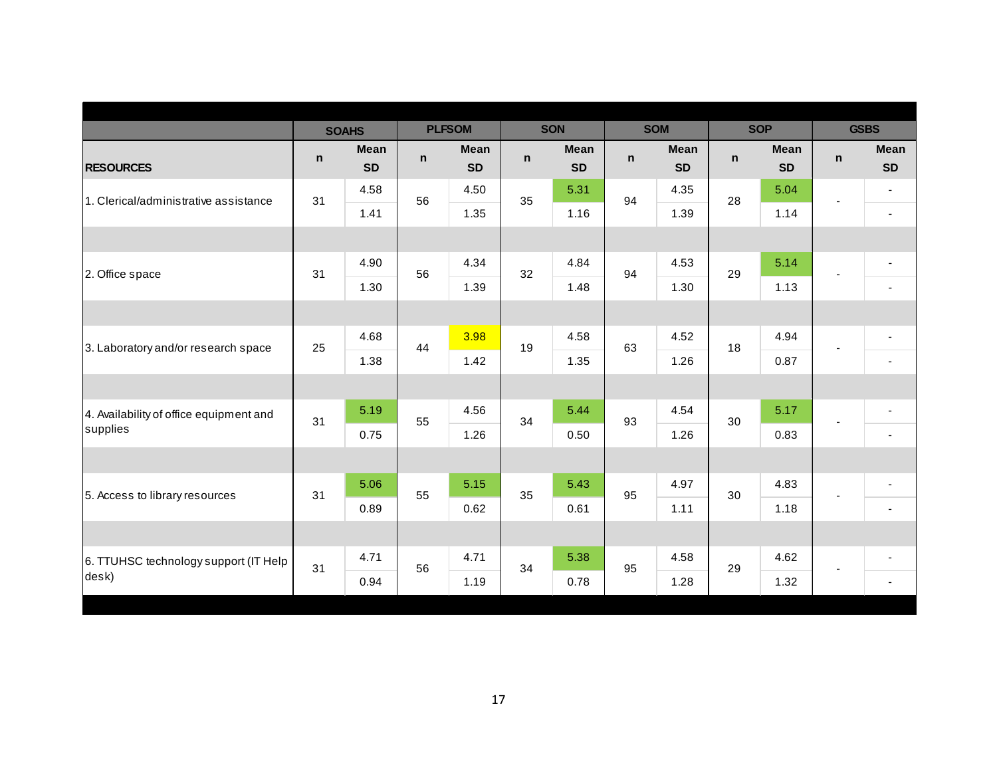|                                         |    | <b>SOAHS</b>             |    | <b>PLFSOM</b>            |    | <b>SON</b>               |              | <b>SOM</b>               | <b>SOP</b>   |                          |                | <b>GSBS</b>              |
|-----------------------------------------|----|--------------------------|----|--------------------------|----|--------------------------|--------------|--------------------------|--------------|--------------------------|----------------|--------------------------|
| <b>RESOURCES</b>                        | n  | <b>Mean</b><br><b>SD</b> | n  | <b>Mean</b><br><b>SD</b> | n  | <b>Mean</b><br><b>SD</b> | $\mathsf{n}$ | <b>Mean</b><br><b>SD</b> | $\mathsf{n}$ | <b>Mean</b><br><b>SD</b> | $\mathsf{n}$   | <b>Mean</b><br><b>SD</b> |
| 1. Clerical/administrative assistance   | 31 | 4.58                     | 56 | 4.50                     | 35 | 5.31                     | 94           | 4.35                     | 28           | 5.04                     | ÷,             | $\blacksquare$           |
|                                         |    | 1.41                     |    | 1.35                     |    | 1.16                     |              | 1.39                     |              | 1.14                     |                | $\blacksquare$           |
|                                         |    |                          |    |                          |    |                          |              |                          |              |                          |                |                          |
| 2. Office space                         | 31 | 4.90                     | 56 | 4.34                     | 32 | 4.84                     | 94           | 4.53                     | 29           | 5.14                     | $\blacksquare$ | $\blacksquare$           |
|                                         |    | 1.30                     |    | 1.39                     |    | 1.48                     |              | 1.30                     |              | 1.13                     |                | $\overline{\phantom{a}}$ |
|                                         |    |                          |    |                          |    |                          |              |                          |              |                          |                |                          |
| 3. Laboratory and/or research space     | 25 | 4.68                     | 44 | 3.98                     | 19 | 4.58                     | 63           | 4.52                     | 18           | 4.94                     |                | $\overline{\phantom{a}}$ |
|                                         |    | 1.38                     |    | 1.42                     |    | 1.35                     |              | 1.26                     |              | 0.87                     |                | $\blacksquare$           |
|                                         |    |                          |    |                          |    |                          |              |                          |              |                          |                |                          |
| 4. Availability of office equipment and | 31 | 5.19                     | 55 | 4.56                     | 34 | 5.44                     | 93           | 4.54                     | 30           | 5.17                     |                | $\blacksquare$           |
| supplies                                |    | 0.75                     |    | 1.26                     |    | 0.50                     |              | 1.26                     |              | 0.83                     |                | $\sim$                   |
|                                         |    |                          |    |                          |    |                          |              |                          |              |                          |                |                          |
| 5. Access to library resources          | 31 | 5.06                     | 55 | 5.15                     | 35 | 5.43                     | 95           | 4.97                     | 30           | 4.83                     | ٠              | $\overline{\phantom{a}}$ |
|                                         |    | 0.89                     |    | 0.62                     |    | 0.61                     |              | 1.11                     |              | 1.18                     |                | $\blacksquare$           |
|                                         |    |                          |    |                          |    |                          |              |                          |              |                          |                |                          |
| 6. TTUHSC technology support (IT Help   | 31 | 4.71                     | 56 | 4.71                     | 34 | 5.38                     | 95           | 4.58                     | 29           | 4.62                     | ٠              | ٠                        |
| desk)                                   |    | 0.94                     |    | 1.19                     |    | 0.78                     |              | 1.28                     |              | 1.32                     |                | $\blacksquare$           |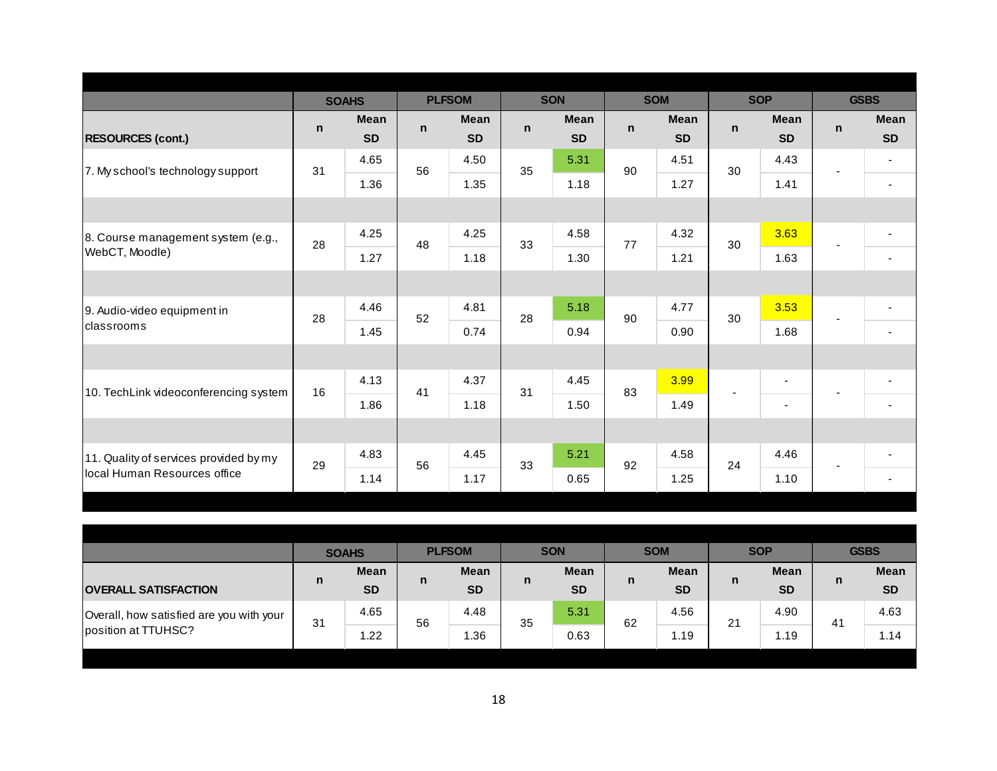|                                        |    | <b>SOAHS</b> |              | <b>PLFSOM</b> |    | <b>SON</b>  |              | <b>SOM</b>  |              | <b>SOP</b>     |              | <b>GSBS</b>              |
|----------------------------------------|----|--------------|--------------|---------------|----|-------------|--------------|-------------|--------------|----------------|--------------|--------------------------|
|                                        | n. | <b>Mean</b>  | $\mathsf{n}$ | <b>Mean</b>   | n  | <b>Mean</b> | $\mathsf{n}$ | <b>Mean</b> | $\mathsf{n}$ | <b>Mean</b>    | $\mathsf{n}$ | <b>Mean</b>              |
| <b>RESOURCES (cont.)</b>               |    | <b>SD</b>    |              | <b>SD</b>     |    | <b>SD</b>   |              | <b>SD</b>   |              | <b>SD</b>      |              | <b>SD</b>                |
| 7. My school's technology support      | 31 | 4.65         | 56           | 4.50          | 35 | 5.31        | 90           | 4.51        | 30           | 4.43           |              | $\blacksquare$           |
|                                        |    | 1.36         |              | 1.35          |    | 1.18        |              | 1.27        |              | 1.41           |              | $\blacksquare$           |
|                                        |    |              |              |               |    |             |              |             |              |                |              |                          |
| 8. Course management system (e.g.,     | 28 | 4.25         | 48           | 4.25          | 33 | 4.58        | 77           | 4.32        | 30           | 3.63           |              | $\blacksquare$           |
| WebCT, Moodle)                         |    | 1.27         |              | 1.18          |    | 1.30        |              | 1.21        |              | 1.63           |              | $\blacksquare$           |
|                                        |    |              |              |               |    |             |              |             |              |                |              |                          |
| 9. Audio-video equipment in            | 28 | 4.46         | 52           | 4.81          | 28 | 5.18        | 90           | 4.77        | 30           | 3.53           |              | $\overline{\phantom{a}}$ |
| classrooms                             |    | 1.45         |              | 0.74          |    | 0.94        |              | 0.90        |              | 1.68           |              | $\blacksquare$           |
|                                        |    |              |              |               |    |             |              |             |              |                |              |                          |
| 10. TechLink videoconferencing system  | 16 | 4.13         | 41           | 4.37          | 31 | 4.45        | 83           | 3.99        |              | $\blacksquare$ |              | $\overline{\phantom{a}}$ |
|                                        |    | 1.86         |              | 1.18          |    | 1.50        |              | 1.49        |              | $\blacksquare$ |              | $\blacksquare$           |
|                                        |    |              |              |               |    |             |              |             |              |                |              |                          |
| 11. Quality of services provided by my | 29 | 4.83         | 56           | 4.45          | 33 | 5.21        | 92           | 4.58        | 24           | 4.46           | ٠            | $\overline{\phantom{a}}$ |
| local Human Resources office           |    | 1.14         |              | 1.17          |    | 0.65        |              | 1.25        |              | 1.10           |              | $\overline{\phantom{a}}$ |
|                                        |    |              |              |               |    |             |              |             |              |                |              |                          |

|                                          |    | <b>SOAHS</b> |    | <b>PLFSOM</b> |    | <b>SON</b>  |    | <b>SOM</b>  | <b>SOP</b> |             |                | <b>GSBS</b> |
|------------------------------------------|----|--------------|----|---------------|----|-------------|----|-------------|------------|-------------|----------------|-------------|
|                                          | n  | <b>Mean</b>  | n  | <b>Mean</b>   | n  | <b>Mean</b> | n  | <b>Mean</b> | n          | <b>Mean</b> | n              | <b>Mean</b> |
| <b>OVERALL SATISFACTION</b>              |    | <b>SD</b>    |    | <b>SD</b>     |    | <b>SD</b>   |    | <b>SD</b>   |            | <b>SD</b>   |                | <b>SD</b>   |
| Overall, how satisfied are you with your | 31 | 4.65         | 56 | 4.48          | 35 | 5.31        | 62 | 4.56        | 21         | 4.90        | 4 <sup>1</sup> | 4.63        |
| position at TTUHSC?                      |    | 1.22         |    | 1.36          |    | 0.63        |    | 1.19        |            | 1.19        |                | .14         |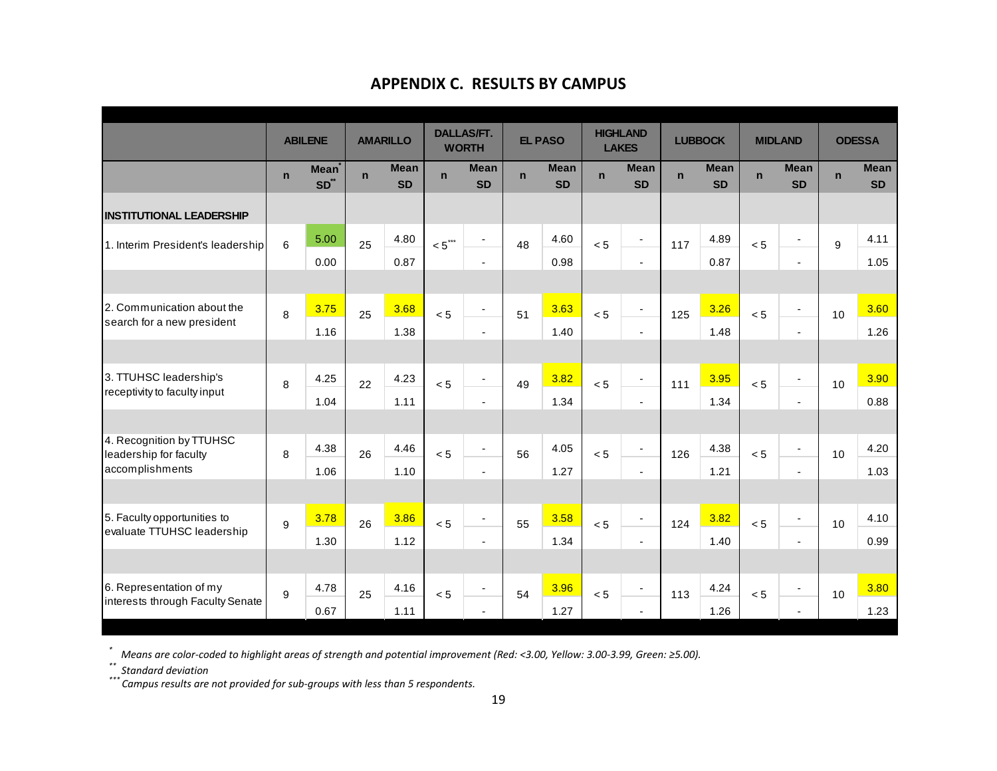|                                                          |              | <b>ABILENE</b>                  |             | <b>AMARILLO</b>          |             | <b>DALLAS/FT.</b><br><b>WORTH</b> |             | <b>EL PASO</b>           |             | <b>HIGHLAND</b><br><b>LAKES</b> |             | <b>LUBBOCK</b>           |             | <b>MIDLAND</b>           |             | <b>ODESSA</b>            |
|----------------------------------------------------------|--------------|---------------------------------|-------------|--------------------------|-------------|-----------------------------------|-------------|--------------------------|-------------|---------------------------------|-------------|--------------------------|-------------|--------------------------|-------------|--------------------------|
|                                                          | $\mathsf{n}$ | <b>Mean</b><br>SD <sup>**</sup> | $\mathbf n$ | <b>Mean</b><br><b>SD</b> | $\mathbf n$ | <b>Mean</b><br><b>SD</b>          | $\mathbf n$ | <b>Mean</b><br><b>SD</b> | $\mathbf n$ | <b>Mean</b><br><b>SD</b>        | $\mathbf n$ | <b>Mean</b><br><b>SD</b> | $\mathbf n$ | <b>Mean</b><br><b>SD</b> | $\mathbf n$ | <b>Mean</b><br><b>SD</b> |
| <b>INSTITUTIONAL LEADERSHIP</b>                          |              |                                 |             |                          |             |                                   |             |                          |             |                                 |             |                          |             |                          |             |                          |
| 1. Interim President's leadership                        | 6            | 5.00                            | 25          | 4.80                     | $< 5$ ***   | $\overline{\phantom{a}}$          | 48          | 4.60                     | < 5         | $\overline{\phantom{a}}$        | 117         | 4.89                     | < 5         | $\overline{\phantom{a}}$ | 9           | 4.11                     |
|                                                          |              | 0.00                            |             | 0.87                     |             | $\blacksquare$                    |             | 0.98                     |             | $\blacksquare$                  |             | 0.87                     |             | $\blacksquare$           |             | 1.05                     |
|                                                          |              |                                 |             |                          |             |                                   |             |                          |             |                                 |             |                          |             |                          |             |                          |
| 2. Communication about the<br>search for a new president | 8            | 3.75                            | 25          | 3.68                     | < 5         | $\overline{\phantom{a}}$          | 51          | 3.63                     | < 5         | $\overline{\phantom{a}}$        | 125         | 3.26                     | < 5         | $\blacksquare$           | 10          | 3.60                     |
|                                                          |              | 1.16                            |             | 1.38                     |             | $\overline{\phantom{a}}$          |             | 1.40                     |             | $\overline{\phantom{a}}$        |             | 1.48                     |             | $\overline{\phantom{a}}$ |             | 1.26                     |
|                                                          |              |                                 |             |                          |             |                                   |             |                          |             |                                 |             |                          |             |                          |             |                          |
| 3. TTUHSC leadership's                                   | 8            | 4.25                            | 22          | 4.23                     | < 5         | $\overline{\phantom{a}}$          | 49          | 3.82                     | < 5         | $\blacksquare$                  | 111         | 3.95                     | < 5         | $\blacksquare$           | 10          | 3.90                     |
| receptivity to faculty input                             |              | 1.04                            |             | 1.11                     |             | $\overline{\phantom{a}}$          |             | 1.34                     |             | $\overline{\phantom{a}}$        |             | 1.34                     |             | $\blacksquare$           |             | 0.88                     |
|                                                          |              |                                 |             |                          |             |                                   |             |                          |             |                                 |             |                          |             |                          |             |                          |
| 4. Recognition by TTUHSC<br>leadership for faculty       | 8            | 4.38                            | 26          | 4.46                     | < 5         | $\overline{a}$                    | 56          | 4.05                     | < 5         | $\blacksquare$                  | 126         | 4.38                     | < 5         | $\blacksquare$           | 10          | 4.20                     |
| accomplishments                                          |              | 1.06                            |             | 1.10                     |             | $\blacksquare$                    |             | 1.27                     |             | $\blacksquare$                  |             | 1.21                     |             | $\sim$                   |             | 1.03                     |
|                                                          |              |                                 |             |                          |             |                                   |             |                          |             |                                 |             |                          |             |                          |             |                          |
| 5. Faculty opportunities to                              | 9            | 3.78                            | 26          | 3.86                     | < 5         | $\overline{\phantom{a}}$          | 55          | 3.58                     | < 5         | $\blacksquare$                  | 124         | 3.82                     | < 5         | $\overline{\phantom{a}}$ | 10          | 4.10                     |
| evaluate TTUHSC leadership                               |              | 1.30                            |             | 1.12                     |             | $\blacksquare$                    |             | 1.34                     |             | $\overline{a}$                  |             | 1.40                     |             | $\sim$                   |             | 0.99                     |
|                                                          |              |                                 |             |                          |             |                                   |             |                          |             |                                 |             |                          |             |                          |             |                          |
| 6. Representation of my                                  | 9            | 4.78                            | 25          | 4.16                     | < 5         | $\overline{\phantom{a}}$          | 54          | 3.96                     | < 5         | $\blacksquare$                  | 113         | 4.24                     | < 5         | $\overline{\phantom{a}}$ | 10          | 3.80                     |
| interests through Faculty Senate                         |              | 0.67                            |             | 1.11                     |             | $\overline{a}$                    |             | 1.27                     |             |                                 |             | 1.26                     |             |                          |             | 1.23                     |

## **APPENDIX C. RESULTS BY CAMPUS**

*\**Means are color-coded to highlight areas of strength and potential improvement (Red: <3.00, Yellow: 3.00-3.99, Green: ≥5.00).

\*\* Standard deviation<br>\*\*\* Campus results are not provided for sub-groups with less than 5 respondents.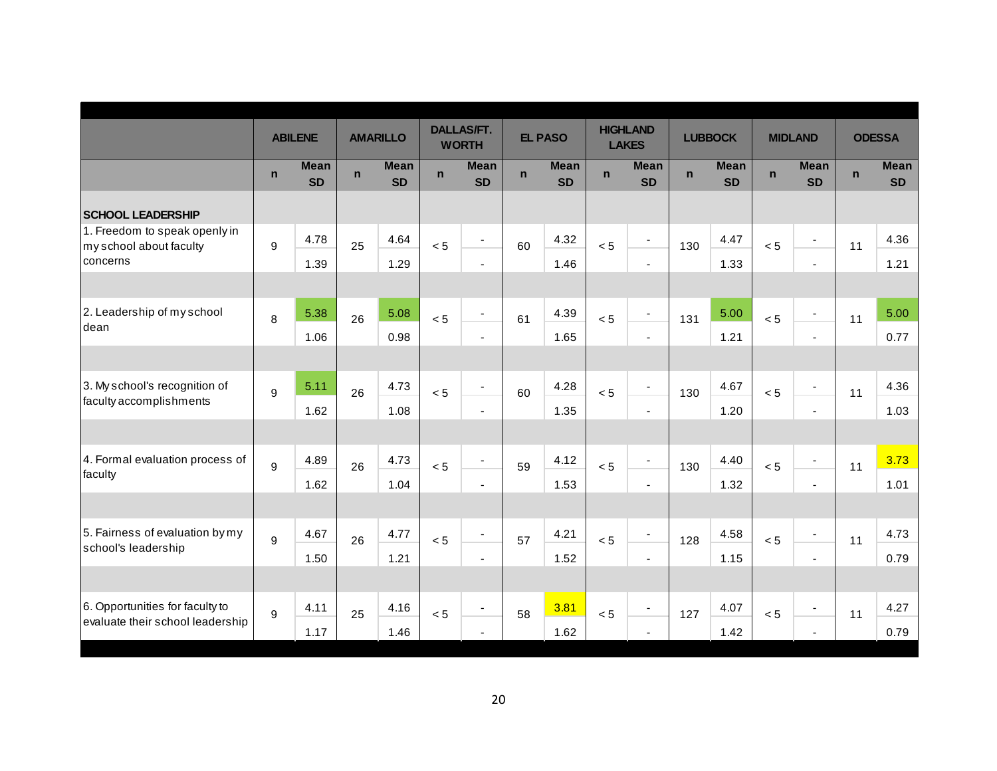|                                                          |              | <b>ABILENE</b>           |             | <b>AMARILLO</b>          |             | <b>DALLAS/FT.</b><br><b>WORTH</b> |              | <b>EL PASO</b>           |             | <b>HIGHLAND</b><br><b>LAKES</b> |              | <b>LUBBOCK</b>           |             | <b>MIDLAND</b>           |              | <b>ODESSA</b>            |
|----------------------------------------------------------|--------------|--------------------------|-------------|--------------------------|-------------|-----------------------------------|--------------|--------------------------|-------------|---------------------------------|--------------|--------------------------|-------------|--------------------------|--------------|--------------------------|
|                                                          | $\mathsf{n}$ | <b>Mean</b><br><b>SD</b> | $\mathbf n$ | <b>Mean</b><br><b>SD</b> | $\mathbf n$ | <b>Mean</b><br><b>SD</b>          | $\mathsf{n}$ | <b>Mean</b><br><b>SD</b> | $\mathbf n$ | <b>Mean</b><br><b>SD</b>        | $\mathsf{n}$ | <b>Mean</b><br><b>SD</b> | $\mathbf n$ | <b>Mean</b><br><b>SD</b> | $\mathsf{n}$ | <b>Mean</b><br><b>SD</b> |
| <b>SCHOOL LEADERSHIP</b>                                 |              |                          |             |                          |             |                                   |              |                          |             |                                 |              |                          |             |                          |              |                          |
| 1. Freedom to speak openly in<br>my school about faculty | 9            | 4.78                     | 25          | 4.64                     | < 5         | $\blacksquare$                    | 60           | 4.32                     | < 5         | $\overline{\phantom{a}}$        | 130          | 4.47                     | < 5         | $\overline{\phantom{a}}$ | 11           | 4.36                     |
| concerns                                                 |              | 1.39                     |             | 1.29                     |             | $\overline{\phantom{a}}$          |              | 1.46                     |             | $\overline{a}$                  |              | 1.33                     |             | $\blacksquare$           |              | 1.21                     |
| 2. Leadership of my school                               | 8            | 5.38                     | 26          | 5.08                     | < 5         | $\blacksquare$                    | 61           | 4.39                     | < 5         | $\blacksquare$                  | 131          | 5.00                     | < 5         | $\overline{\phantom{a}}$ | 11           | 5.00                     |
| dean                                                     |              | 1.06                     |             | 0.98                     |             | $\overline{\phantom{a}}$          |              | 1.65                     |             | ä,                              |              | 1.21                     |             | $\blacksquare$           |              | 0.77                     |
|                                                          |              |                          |             |                          |             |                                   |              |                          |             |                                 |              |                          |             |                          |              |                          |
| 3. My school's recognition of<br>faculty accomplishments | 9            | 5.11                     | 26          | 4.73                     | < 5         | $\overline{\phantom{a}}$          | 60           | 4.28                     | < 5         | $\overline{\phantom{a}}$        | 130          | 4.67                     | < 5         | $\blacksquare$           | 11           | 4.36                     |
|                                                          |              | 1.62                     |             | 1.08                     |             | $\overline{\phantom{a}}$          |              | 1.35                     |             | $\overline{\phantom{a}}$        |              | 1.20                     |             | $\sim$                   |              | 1.03                     |
| 4. Formal evaluation process of                          | 9            | 4.89                     | 26          | 4.73                     | < 5         | $\blacksquare$                    | 59           | 4.12                     | < 5         | $\overline{\phantom{a}}$        | 130          | 4.40                     | < 5         | $\blacksquare$           | 11           | 3.73                     |
| faculty                                                  |              | 1.62                     |             | 1.04                     |             | $\blacksquare$                    |              | 1.53                     |             | $\sim$                          |              | 1.32                     |             | $\sim$                   |              | 1.01                     |
|                                                          |              |                          |             |                          |             |                                   |              |                          |             |                                 |              |                          |             |                          |              |                          |
| 5. Fairness of evaluation by my                          | 9            | 4.67                     | 26          | 4.77                     | < 5         | $\blacksquare$                    | 57           | 4.21                     | < 5         | $\overline{\phantom{a}}$        | 128          | 4.58                     | < 5         | $\blacksquare$           | 11           | 4.73                     |
| school's leadership                                      |              | 1.50                     |             | 1.21                     |             | $\blacksquare$                    |              | 1.52                     |             | $\sim$                          |              | 1.15                     |             | $\sim$                   |              | 0.79                     |
|                                                          |              |                          |             |                          |             |                                   |              |                          |             |                                 |              |                          |             |                          |              |                          |
| 6. Opportunities for faculty to                          | 9            | 4.11                     | 25          | 4.16                     | < 5         | $\blacksquare$                    | 58           | 3.81                     | < 5         | $\overline{\phantom{a}}$        | 127          | 4.07                     | < 5         | $\blacksquare$           | 11           | 4.27                     |
| evaluate their school leadership                         |              | 1.17                     |             | 1.46                     |             | $\overline{a}$                    |              | 1.62                     |             |                                 |              | 1.42                     |             |                          |              | 0.79                     |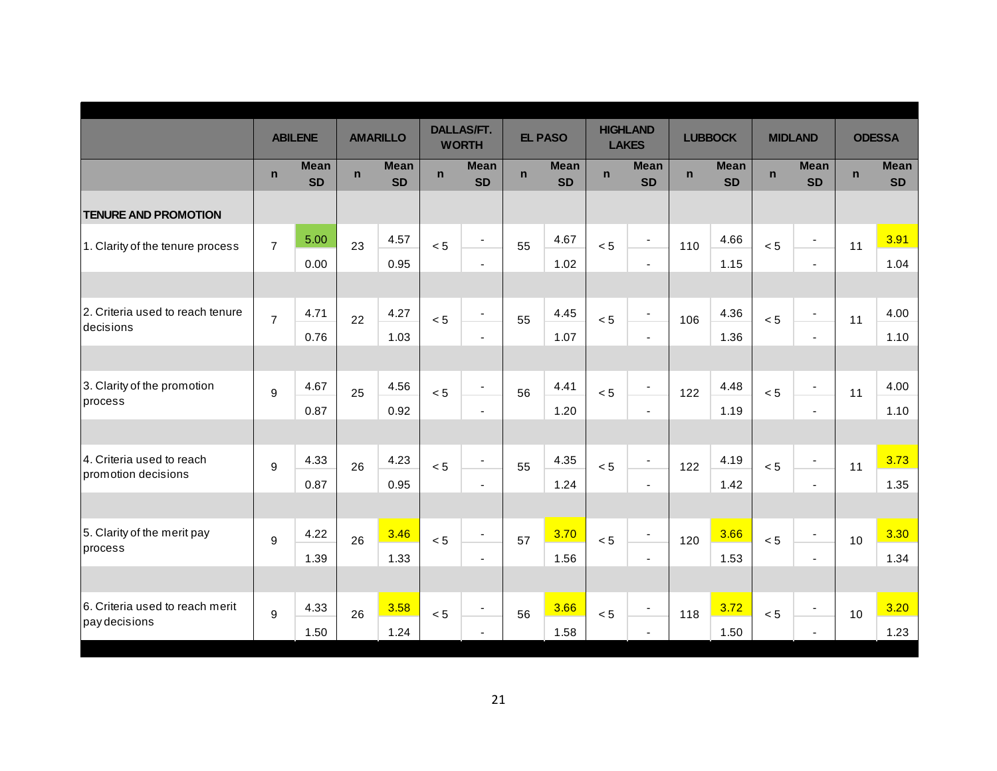|                                  |                  | <b>ABILENE</b>           |              | <b>AMARILLO</b>          |              | <b>DALLAS/FT.</b><br><b>WORTH</b> |             | <b>EL PASO</b>           |             | <b>HIGHLAND</b><br><b>LAKES</b> |              | <b>LUBBOCK</b>           |             | <b>MIDLAND</b>           |              | <b>ODESSA</b>            |
|----------------------------------|------------------|--------------------------|--------------|--------------------------|--------------|-----------------------------------|-------------|--------------------------|-------------|---------------------------------|--------------|--------------------------|-------------|--------------------------|--------------|--------------------------|
|                                  | $\mathbf n$      | <b>Mean</b><br><b>SD</b> | $\mathsf{n}$ | <b>Mean</b><br><b>SD</b> | $\mathsf{n}$ | <b>Mean</b><br><b>SD</b>          | $\mathbf n$ | <b>Mean</b><br><b>SD</b> | $\mathbf n$ | <b>Mean</b><br><b>SD</b>        | $\mathsf{n}$ | <b>Mean</b><br><b>SD</b> | $\mathbf n$ | <b>Mean</b><br><b>SD</b> | $\mathsf{n}$ | <b>Mean</b><br><b>SD</b> |
| <b>TENURE AND PROMOTION</b>      |                  |                          |              |                          |              |                                   |             |                          |             |                                 |              |                          |             |                          |              |                          |
| 1. Clarity of the tenure process | $\overline{7}$   | 5.00                     | 23           | 4.57                     | < 5          | $\overline{\phantom{a}}$          | 55          | 4.67                     | < 5         | $\overline{\phantom{a}}$        | 110          | 4.66                     | < 5         | $\overline{\phantom{a}}$ | 11           | 3.91                     |
|                                  |                  | 0.00                     |              | 0.95                     |              | $\blacksquare$                    |             | 1.02                     |             | $\sim$                          |              | 1.15                     |             | $\blacksquare$           |              | 1.04                     |
|                                  |                  |                          |              |                          |              |                                   |             |                          |             |                                 |              |                          |             |                          |              |                          |
| 2. Criteria used to reach tenure | $\overline{7}$   | 4.71                     | 22           | 4.27                     | < 5          | $\blacksquare$                    | 55          | 4.45                     | < 5         | $\overline{\phantom{a}}$        | 106          | 4.36                     | < 5         | $\overline{\phantom{a}}$ | 11           | 4.00                     |
| decisions                        |                  | 0.76                     |              | 1.03                     |              | $\blacksquare$                    |             | 1.07                     |             | $\sim$                          |              | 1.36                     |             | $\overline{\phantom{a}}$ |              | 1.10                     |
|                                  |                  |                          |              |                          |              |                                   |             |                          |             |                                 |              |                          |             |                          |              |                          |
| 3. Clarity of the promotion      | $\boldsymbol{9}$ | 4.67                     | 25           | 4.56                     | < 5          | $\overline{\phantom{a}}$          | 56          | 4.41                     | < 5         | $\overline{\phantom{a}}$        | 122          | 4.48                     | < 5         | $\overline{\phantom{a}}$ | 11           | 4.00                     |
| process                          |                  | 0.87                     |              | 0.92                     |              | $\blacksquare$                    |             | 1.20                     |             | $\sim$                          |              | 1.19                     |             | $\overline{\phantom{a}}$ |              | 1.10                     |
|                                  |                  |                          |              |                          |              |                                   |             |                          |             |                                 |              |                          |             |                          |              |                          |
| 4. Criteria used to reach        | $\boldsymbol{9}$ | 4.33                     | 26           | 4.23                     | < 5          | $\overline{\phantom{a}}$          | 55          | 4.35                     | < 5         | $\overline{\phantom{a}}$        | 122          | 4.19                     | < 5         | $\overline{\phantom{a}}$ | 11           | 3.73                     |
| promotion decisions              |                  | 0.87                     |              | 0.95                     |              | $\blacksquare$                    |             | 1.24                     |             | $\blacksquare$                  |              | 1.42                     |             | $\overline{\phantom{a}}$ |              | 1.35                     |
|                                  |                  |                          |              |                          |              |                                   |             |                          |             |                                 |              |                          |             |                          |              |                          |
| 5. Clarity of the merit pay      | 9                | 4.22                     | 26           | 3.46                     | < 5          | $\blacksquare$                    | 57          | 3.70                     | < 5         | $\overline{\phantom{a}}$        | 120          | 3.66                     | < 5         | $\overline{\phantom{a}}$ | 10           | 3.30                     |
| process                          |                  | 1.39                     |              | 1.33                     |              | $\blacksquare$                    |             | 1.56                     |             | $\blacksquare$                  |              | 1.53                     |             | $\overline{\phantom{a}}$ |              | 1.34                     |
|                                  |                  |                          |              |                          |              |                                   |             |                          |             |                                 |              |                          |             |                          |              |                          |
| 6. Criteria used to reach merit  | 9                | 4.33                     | 26           | 3.58                     | < 5          | $\blacksquare$                    | 56          | 3.66                     | < 5         | $\overline{\phantom{a}}$        | 118          | 3.72                     | < 5         | $\overline{\phantom{a}}$ | 10           | 3.20                     |
| pay decisions                    |                  | 1.50                     |              | 1.24                     |              | $\sim$                            |             | 1.58                     |             | $\overline{a}$                  |              | 1.50                     |             | $\blacksquare$           |              | 1.23                     |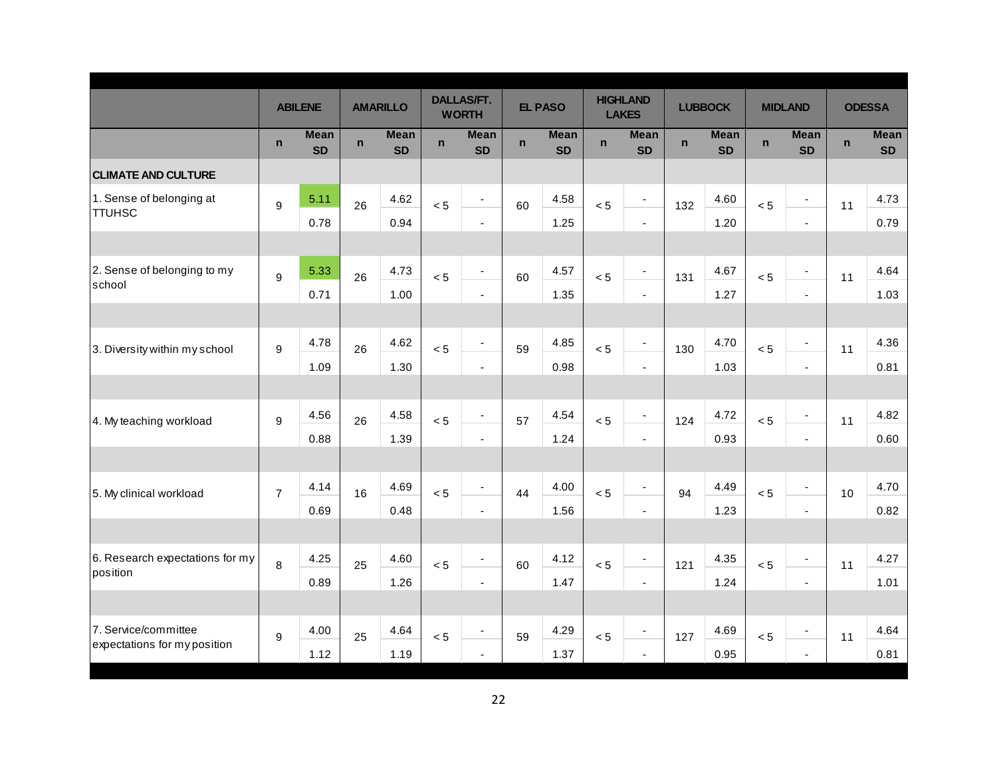|                                           |                  | <b>ABILENE</b>           |             | <b>AMARILLO</b>          |              | <b>DALLAS/FT.</b><br><b>WORTH</b> |             | <b>EL PASO</b>           |             | <b>HIGHLAND</b><br><b>LAKES</b> |             | <b>LUBBOCK</b>           |              | <b>MIDLAND</b>           |              | <b>ODESSA</b>            |
|-------------------------------------------|------------------|--------------------------|-------------|--------------------------|--------------|-----------------------------------|-------------|--------------------------|-------------|---------------------------------|-------------|--------------------------|--------------|--------------------------|--------------|--------------------------|
|                                           | $\mathsf{n}$     | <b>Mean</b><br><b>SD</b> | $\mathbf n$ | <b>Mean</b><br><b>SD</b> | $\mathsf{n}$ | <b>Mean</b><br><b>SD</b>          | $\mathbf n$ | <b>Mean</b><br><b>SD</b> | $\mathbf n$ | <b>Mean</b><br><b>SD</b>        | $\mathbf n$ | <b>Mean</b><br><b>SD</b> | $\mathsf{n}$ | <b>Mean</b><br><b>SD</b> | $\mathsf{n}$ | <b>Mean</b><br><b>SD</b> |
| <b>CLIMATE AND CULTURE</b>                |                  |                          |             |                          |              |                                   |             |                          |             |                                 |             |                          |              |                          |              |                          |
| 1. Sense of belonging at<br><b>TTUHSC</b> | 9                | 5.11                     | 26          | 4.62                     | < 5          | $\overline{\phantom{a}}$          | 60          | 4.58                     | < 5         | $\overline{\phantom{a}}$        | 132         | 4.60                     | < 5          | $\overline{\phantom{a}}$ | 11           | 4.73                     |
|                                           |                  | 0.78                     |             | 0.94                     |              | $\blacksquare$                    |             | 1.25                     |             | $\blacksquare$                  |             | 1.20                     |              | ä,                       |              | 0.79                     |
|                                           |                  |                          |             |                          |              |                                   |             |                          |             |                                 |             |                          |              |                          |              |                          |
| 2. Sense of belonging to my               | $\boldsymbol{9}$ | 5.33                     | 26          | 4.73                     | < 5          | $\overline{\phantom{a}}$          | 60          | 4.57                     | < 5         | $\overline{\phantom{a}}$        | 131         | 4.67                     | < 5          | $\overline{\phantom{a}}$ | 11           | 4.64                     |
| school                                    |                  | 0.71                     |             | 1.00                     |              | $\blacksquare$                    |             | 1.35                     |             | $\overline{\phantom{a}}$        |             | 1.27                     |              | ä,                       |              | 1.03                     |
|                                           |                  |                          |             |                          |              |                                   |             |                          |             |                                 |             |                          |              |                          |              |                          |
| 3. Diversity within my school             | 9                | 4.78                     | 26          | 4.62                     | < 5          | $\blacksquare$                    | 59          | 4.85                     | < 5         | $\overline{\phantom{a}}$        | 130         | 4.70                     | < 5          | ÷                        | 11           | 4.36                     |
|                                           |                  | 1.09                     |             | 1.30                     |              | $\blacksquare$                    |             | 0.98                     |             | $\blacksquare$                  |             | 1.03                     |              | $\blacksquare$           |              | 0.81                     |
|                                           |                  |                          |             |                          |              |                                   |             |                          |             |                                 |             |                          |              |                          |              |                          |
| 4. My teaching workload                   | 9                | 4.56                     | 26          | 4.58                     | < 5          | $\overline{\phantom{a}}$          | 57          | 4.54                     | < 5         | $\overline{\phantom{a}}$        | 124         | 4.72                     | < 5          | $\overline{\phantom{a}}$ | 11           | 4.82                     |
|                                           |                  | 0.88                     |             | 1.39                     |              | $\blacksquare$                    |             | 1.24                     |             | $\sim$                          |             | 0.93                     |              | $\overline{a}$           |              | 0.60                     |
|                                           |                  |                          |             |                          |              |                                   |             |                          |             |                                 |             |                          |              |                          |              |                          |
| 5. My clinical workload                   | $\overline{7}$   | 4.14                     | 16          | 4.69                     | < 5          | $\blacksquare$                    | 44          | 4.00                     | < 5         | $\blacksquare$                  | 94          | 4.49                     | < 5          | $\overline{\phantom{a}}$ | 10           | 4.70                     |
|                                           |                  | 0.69                     |             | 0.48                     |              | $\blacksquare$                    |             | 1.56                     |             | $\blacksquare$                  |             | 1.23                     |              | $\blacksquare$           |              | 0.82                     |
|                                           |                  |                          |             |                          |              |                                   |             |                          |             |                                 |             |                          |              |                          |              |                          |
| 6. Research expectations for my           | 8                | 4.25                     | 25          | 4.60                     | < 5          | $\overline{\phantom{a}}$          | 60          | 4.12                     | < 5         | $\overline{\phantom{a}}$        | 121         | 4.35                     | < 5          | $\blacksquare$           | 11           | 4.27                     |
| position                                  |                  | 0.89                     |             | 1.26                     |              | $\overline{\phantom{a}}$          |             | 1.47                     |             | $\blacksquare$                  |             | 1.24                     |              | $\blacksquare$           |              | 1.01                     |
|                                           |                  |                          |             |                          |              |                                   |             |                          |             |                                 |             |                          |              |                          |              |                          |
| 7. Service/committee                      | 9                | 4.00                     | 25          | 4.64                     | < 5          | $\overline{\phantom{a}}$          | 59          | 4.29                     | < 5         | $\overline{\phantom{a}}$        | 127         | 4.69                     | < 5          | $\overline{a}$           | 11           | 4.64                     |
| expectations for my position              |                  | 1.12                     |             | 1.19                     |              | $\blacksquare$                    |             | 1.37                     |             | $\overline{\phantom{a}}$        |             | 0.95                     |              | $\overline{\phantom{a}}$ |              | 0.81                     |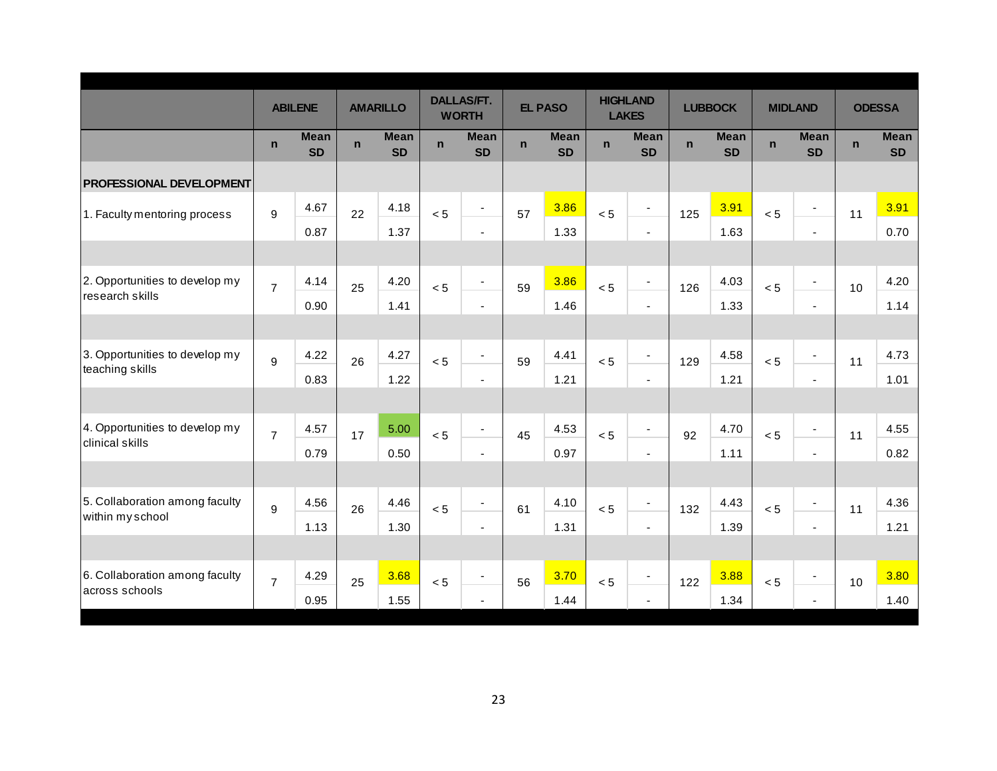|                                 |                | <b>ABILENE</b>           |             | <b>AMARILLO</b>          |             | <b>DALLAS/FT.</b><br><b>WORTH</b> |             | <b>EL PASO</b>           |              | <b>HIGHLAND</b><br><b>LAKES</b> |             | <b>LUBBOCK</b>           |             | <b>MIDLAND</b>               |              | <b>ODESSA</b>            |
|---------------------------------|----------------|--------------------------|-------------|--------------------------|-------------|-----------------------------------|-------------|--------------------------|--------------|---------------------------------|-------------|--------------------------|-------------|------------------------------|--------------|--------------------------|
|                                 | $\mathbf n$    | <b>Mean</b><br><b>SD</b> | $\mathbf n$ | <b>Mean</b><br><b>SD</b> | $\mathbf n$ | <b>Mean</b><br><b>SD</b>          | $\mathbf n$ | <b>Mean</b><br><b>SD</b> | $\mathsf{n}$ | <b>Mean</b><br><b>SD</b>        | $\mathbf n$ | <b>Mean</b><br><b>SD</b> | $\mathbf n$ | <b>Mean</b><br><b>SD</b>     | $\mathsf{n}$ | <b>Mean</b><br><b>SD</b> |
| <b>PROFESSIONAL DEVELOPMENT</b> |                |                          |             |                          |             |                                   |             |                          |              |                                 |             |                          |             |                              |              |                          |
| 1. Faculty mentoring process    | 9              | 4.67                     | 22          | 4.18                     | < 5         |                                   | 57          | 3.86                     | < 5          | ٠                               | 125         | 3.91                     | < 5         |                              | 11           | 3.91                     |
|                                 |                | 0.87                     |             | 1.37                     |             | $\blacksquare$                    |             | 1.33                     |              | $\blacksquare$                  |             | 1.63                     |             | $\blacksquare$               |              | 0.70                     |
|                                 |                |                          |             |                          |             |                                   |             |                          |              |                                 |             |                          |             |                              |              |                          |
| 2. Opportunities to develop my  | $\overline{7}$ | 4.14                     | 25          | 4.20                     | < 5         |                                   | 59          | 3.86                     | < 5          | $\overline{\phantom{a}}$        | 126         | 4.03                     | < 5         | $\qquad \qquad \blacksquare$ | 10           | 4.20                     |
| research skills                 |                | 0.90                     |             | 1.41                     |             | $\blacksquare$                    |             | 1.46                     |              | $\blacksquare$                  |             | 1.33                     |             | $\blacksquare$               |              | 1.14                     |
|                                 |                |                          |             |                          |             |                                   |             |                          |              |                                 |             |                          |             |                              |              |                          |
| 3. Opportunities to develop my  | 9              | 4.22                     | 26          | 4.27                     | < 5         | $\overline{\phantom{a}}$          | 59          | 4.41                     | < 5          | $\overline{\phantom{a}}$        | 129         | 4.58                     | < 5         | $\overline{\phantom{a}}$     | 11           | 4.73                     |
| teaching skills                 |                | 0.83                     |             | 1.22                     |             | $\blacksquare$                    |             | 1.21                     |              | $\sim$                          |             | 1.21                     |             | $\blacksquare$               |              | 1.01                     |
|                                 |                |                          |             |                          |             |                                   |             |                          |              |                                 |             |                          |             |                              |              |                          |
| 4. Opportunities to develop my  | $\overline{7}$ | 4.57                     | 17          | 5.00                     | < 5         | $\blacksquare$                    | 45          | 4.53                     | < 5          | $\overline{\phantom{a}}$        | 92          | 4.70                     | < 5         | $\overline{\phantom{a}}$     | 11           | 4.55                     |
| clinical skills                 |                | 0.79                     |             | 0.50                     |             | $\blacksquare$                    |             | 0.97                     |              | $\sim$                          |             | 1.11                     |             | $\blacksquare$               |              | 0.82                     |
|                                 |                |                          |             |                          |             |                                   |             |                          |              |                                 |             |                          |             |                              |              |                          |
| 5. Collaboration among faculty  | 9              | 4.56                     | 26          | 4.46                     | < 5         | $\overline{\phantom{a}}$          | 61          | 4.10                     | < 5          | $\blacksquare$                  | 132         | 4.43                     | < 5         | $\blacksquare$               | 11           | 4.36                     |
| within my school                |                | 1.13                     |             | 1.30                     |             | $\blacksquare$                    |             | 1.31                     |              | $\sim$                          |             | 1.39                     |             | $\overline{\phantom{a}}$     |              | 1.21                     |
|                                 |                |                          |             |                          |             |                                   |             |                          |              |                                 |             |                          |             |                              |              |                          |
| 6. Collaboration among faculty  | $\overline{7}$ | 4.29                     | 25          | 3.68                     | < 5         |                                   | 56          | 3.70                     | < 5          | $\overline{\phantom{a}}$        | 122         | 3.88                     | < 5         |                              | 10           | 3.80                     |
| across schools                  |                | 0.95                     |             | 1.55                     |             | $\blacksquare$                    |             | 1.44                     |              | $\sim$                          |             | 1.34                     |             | $\blacksquare$               |              | 1.40                     |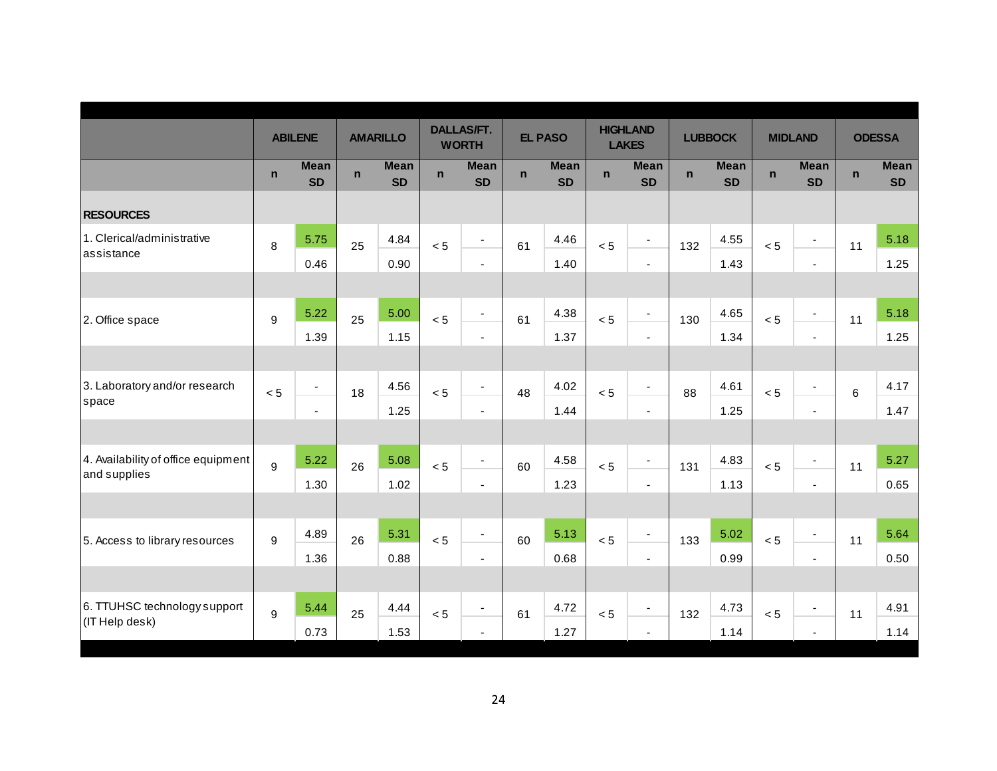|                                                     |                  | <b>ABILENE</b>           |             | <b>AMARILLO</b>          |             | <b>DALLAS/FT.</b><br><b>WORTH</b> |             | <b>EL PASO</b>           |             | <b>HIGHLAND</b><br><b>LAKES</b> |              | <b>LUBBOCK</b>           |             | <b>MIDLAND</b>           |             | <b>ODESSA</b>            |
|-----------------------------------------------------|------------------|--------------------------|-------------|--------------------------|-------------|-----------------------------------|-------------|--------------------------|-------------|---------------------------------|--------------|--------------------------|-------------|--------------------------|-------------|--------------------------|
|                                                     | $\mathbf n$      | <b>Mean</b><br><b>SD</b> | $\mathbf n$ | <b>Mean</b><br><b>SD</b> | $\mathbf n$ | <b>Mean</b><br><b>SD</b>          | $\mathbf n$ | <b>Mean</b><br><b>SD</b> | $\mathbf n$ | <b>Mean</b><br><b>SD</b>        | $\mathsf{n}$ | <b>Mean</b><br><b>SD</b> | $\mathbf n$ | <b>Mean</b><br><b>SD</b> | $\mathbf n$ | <b>Mean</b><br><b>SD</b> |
| <b>RESOURCES</b>                                    |                  |                          |             |                          |             |                                   |             |                          |             |                                 |              |                          |             |                          |             |                          |
| 1. Clerical/administrative<br>assistance            | 8                | 5.75                     | 25          | 4.84                     | < 5         | $\blacksquare$                    | 61          | 4.46                     | < 5         | $\blacksquare$                  | 132          | 4.55                     | < 5         | $\overline{\phantom{a}}$ | 11          | 5.18                     |
|                                                     |                  | 0.46                     |             | 0.90                     |             | $\blacksquare$                    |             | 1.40                     |             | $\overline{\phantom{a}}$        |              | 1.43                     |             | $\blacksquare$           |             | 1.25                     |
| 2. Office space                                     | 9                | 5.22                     | 25          | 5.00                     | < 5         | $\blacksquare$                    | 61          | 4.38                     | < 5         | $\blacksquare$                  | 130          | 4.65                     | < 5         | $\overline{\phantom{a}}$ | 11          | 5.18                     |
|                                                     |                  | 1.39                     |             | 1.15                     |             | $\blacksquare$                    |             | 1.37                     |             | $\blacksquare$                  |              | 1.34                     |             | $\blacksquare$           |             | 1.25                     |
|                                                     |                  |                          |             |                          |             |                                   |             |                          |             |                                 |              |                          |             |                          |             |                          |
| 3. Laboratory and/or research<br>space              | < 5              | $\blacksquare$           | 18          | 4.56                     | < 5         | $\blacksquare$                    | 48          | 4.02                     | < 5         | $\overline{\phantom{a}}$        | 88           | 4.61                     | < 5         | $\overline{\phantom{a}}$ | 6           | 4.17                     |
|                                                     |                  | $\mathbf{r}$             |             | 1.25                     |             | $\blacksquare$                    |             | 1.44                     |             | $\sim$                          |              | 1.25                     |             | $\blacksquare$           |             | 1.47                     |
|                                                     |                  |                          |             |                          |             |                                   |             |                          |             |                                 |              |                          |             |                          |             |                          |
| 4. Availability of office equipment<br>and supplies | 9                | 5.22                     | 26          | 5.08                     | < 5         | $\blacksquare$                    | 60          | 4.58                     | < 5         | $\overline{\phantom{a}}$        | 131          | 4.83                     | < 5         | $\overline{\phantom{a}}$ | 11          | 5.27                     |
|                                                     |                  | 1.30                     |             | 1.02                     |             | $\blacksquare$                    |             | 1.23                     |             | $\overline{\phantom{a}}$        |              | 1.13                     |             | $\blacksquare$           |             | 0.65                     |
|                                                     |                  |                          |             |                          |             |                                   |             |                          |             |                                 |              |                          |             |                          |             |                          |
| 5. Access to library resources                      | $\boldsymbol{9}$ | 4.89                     | 26          | 5.31                     | < 5         | $\blacksquare$                    | 60          | 5.13                     | < 5         | $\blacksquare$                  | 133          | 5.02                     | < 5         | ÷,                       | 11          | 5.64                     |
|                                                     |                  | 1.36                     |             | 0.88                     |             | $\blacksquare$                    |             | 0.68                     |             | $\overline{\phantom{a}}$        |              | 0.99                     |             | $\blacksquare$           |             | 0.50                     |
|                                                     |                  |                          |             |                          |             |                                   |             |                          |             |                                 |              |                          |             |                          |             |                          |
| 6. TTUHSC technology support                        | 9                | 5.44                     | 25          | 4.44                     | < 5         | $\blacksquare$                    | 61          | 4.72                     | < 5         | $\blacksquare$                  | 132          | 4.73                     | < 5         | $\overline{a}$           | 11          | 4.91                     |
| (IT Help desk)                                      |                  | 0.73                     |             | 1.53                     |             | $\sim$                            |             | 1.27                     |             | $\blacksquare$                  |              | 1.14                     |             | $\blacksquare$           |             | 1.14                     |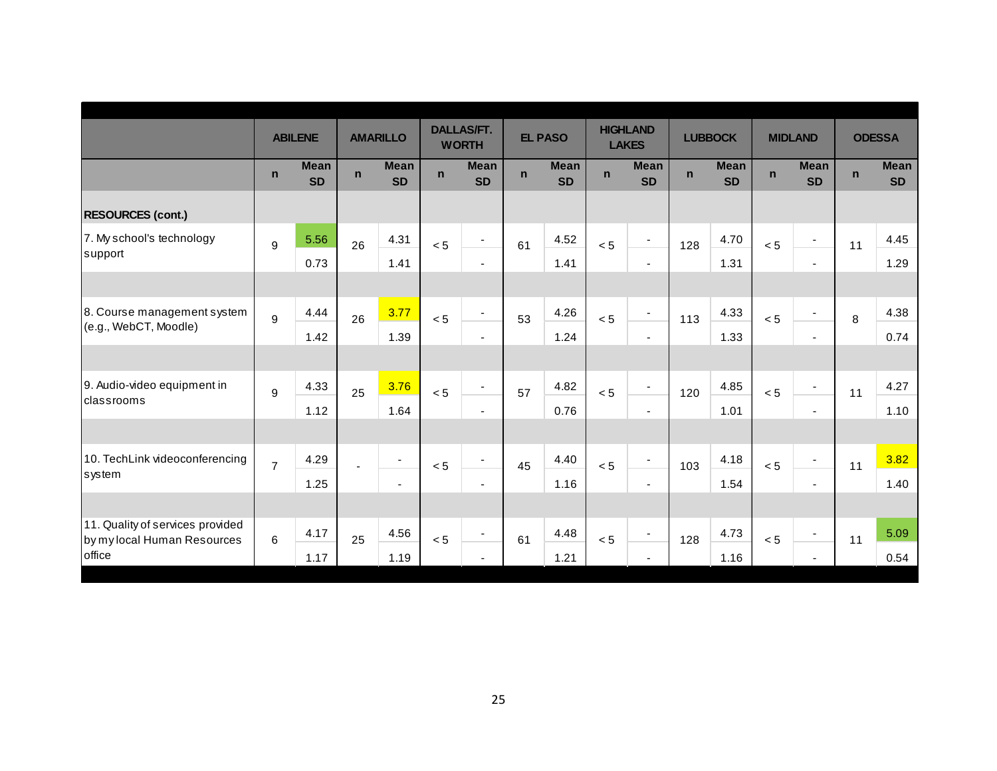|                                                                 |                | <b>ABILENE</b>           |             | <b>AMARILLO</b>          |             | <b>DALLAS/FT.</b><br><b>WORTH</b> |             | <b>EL PASO</b>           |             | <b>HIGHLAND</b><br><b>LAKES</b> |             | <b>LUBBOCK</b>           |             | <b>MIDLAND</b>           |             | <b>ODESSA</b>            |
|-----------------------------------------------------------------|----------------|--------------------------|-------------|--------------------------|-------------|-----------------------------------|-------------|--------------------------|-------------|---------------------------------|-------------|--------------------------|-------------|--------------------------|-------------|--------------------------|
|                                                                 | $\mathsf{n}$   | <b>Mean</b><br><b>SD</b> | $\mathbf n$ | <b>Mean</b><br><b>SD</b> | $\mathbf n$ | <b>Mean</b><br><b>SD</b>          | $\mathbf n$ | <b>Mean</b><br><b>SD</b> | $\mathbf n$ | <b>Mean</b><br><b>SD</b>        | $\mathbf n$ | <b>Mean</b><br><b>SD</b> | $\mathbf n$ | <b>Mean</b><br><b>SD</b> | $\mathbf n$ | <b>Mean</b><br><b>SD</b> |
| <b>RESOURCES (cont.)</b>                                        |                |                          |             |                          |             |                                   |             |                          |             |                                 |             |                          |             |                          |             |                          |
| 7. My school's technology                                       | 9              | 5.56                     | 26          | 4.31                     | < 5         | $\blacksquare$                    | 61          | 4.52                     | < 5         | $\blacksquare$                  | 128         | 4.70                     | < 5         | $\overline{\phantom{a}}$ | 11          | 4.45                     |
| support                                                         |                | 0.73                     |             | 1.41                     |             | $\sim$                            |             | 1.41                     |             |                                 |             | 1.31                     |             |                          |             | 1.29                     |
|                                                                 |                |                          |             |                          |             |                                   |             |                          |             |                                 |             |                          |             |                          |             |                          |
| 8. Course management system                                     | 9              | 4.44                     | 26          | 3.77                     | < 5         | $\blacksquare$                    | 53          | 4.26                     | < 5         | $\blacksquare$                  | 113         | 4.33                     | < 5         | $\overline{\phantom{a}}$ | 8           | 4.38                     |
| (e.g., WebCT, Moodle)                                           |                | 1.42                     |             | 1.39                     |             | $\sim$                            |             | 1.24                     |             | $\blacksquare$                  |             | 1.33                     |             | $\blacksquare$           |             | 0.74                     |
|                                                                 |                |                          |             |                          |             |                                   |             |                          |             |                                 |             |                          |             |                          |             |                          |
| 9. Audio-video equipment in                                     | 9              | 4.33                     | 25          | 3.76                     | < 5         | $\blacksquare$                    | 57          | 4.82                     | < 5         | $\blacksquare$                  | 120         | 4.85                     | < 5         | $\overline{\phantom{a}}$ | 11          | 4.27                     |
| Iclassrooms                                                     |                | 1.12                     |             | 1.64                     |             | $\sim$                            |             | 0.76                     |             | $\blacksquare$                  |             | 1.01                     |             | $\blacksquare$           |             | 1.10                     |
|                                                                 |                |                          |             |                          |             |                                   |             |                          |             |                                 |             |                          |             |                          |             |                          |
| 10. TechLink videoconferencing                                  | $\overline{7}$ | 4.29                     |             | $\overline{\phantom{a}}$ | < 5         | $\blacksquare$                    | 45          | 4.40                     | < 5         | $\overline{\phantom{a}}$        | 103         | 4.18                     | < 5         | $\blacksquare$           | 11          | 3.82                     |
| system                                                          |                | 1.25                     |             | $\blacksquare$           |             | $\blacksquare$                    |             | 1.16                     |             | $\blacksquare$                  |             | 1.54                     |             | $\blacksquare$           |             | 1.40                     |
|                                                                 |                |                          |             |                          |             |                                   |             |                          |             |                                 |             |                          |             |                          |             |                          |
| 11. Quality of services provided<br>by my local Human Resources | 6              | 4.17                     | 25          | 4.56                     | < 5         | $\overline{\phantom{a}}$          | 61          | 4.48                     | < 5         | $\overline{\phantom{a}}$        | 128         | 4.73                     | < 5         | $\overline{\phantom{a}}$ | 11          | 5.09                     |
| office                                                          |                | 1.17                     |             | 1.19                     |             | $\blacksquare$                    |             | 1.21                     |             | $\overline{\phantom{0}}$        |             | 1.16                     |             |                          |             | 0.54                     |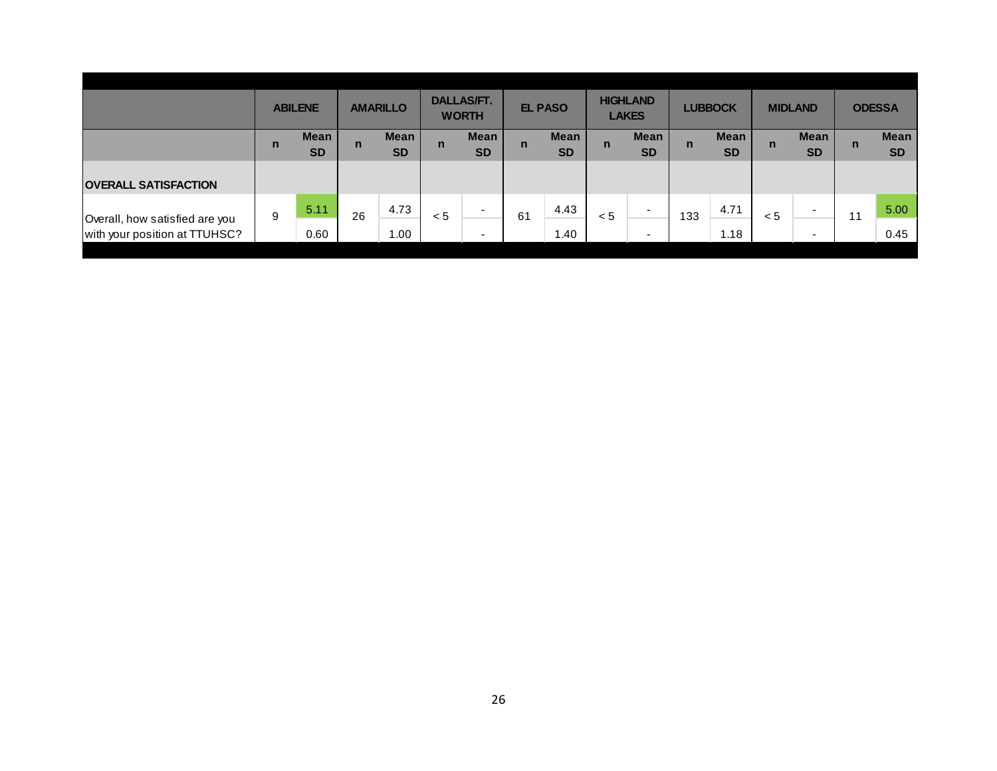|                                | <b>ABILENE</b> |                          | <b>AMARILLO</b> |                          | <b>DALLAS/FT.</b><br><b>WORTH</b> |                          | <b>EL PASO</b> |                          | <b>HIGHLAND</b><br><b>LAKES</b> |                          | <b>LUBBOCK</b> |                          | <b>MIDLAND</b> |                          | <b>ODESSA</b> |                          |
|--------------------------------|----------------|--------------------------|-----------------|--------------------------|-----------------------------------|--------------------------|----------------|--------------------------|---------------------------------|--------------------------|----------------|--------------------------|----------------|--------------------------|---------------|--------------------------|
|                                | $\mathbf n$    | <b>Mean</b><br><b>SD</b> | $\mathsf{n}$    | <b>Mean</b><br><b>SD</b> | $\mathsf{n}$                      | <b>Mean</b><br><b>SD</b> | $\mathsf{n}$   | <b>Mean</b><br><b>SD</b> | $\mathbf n$                     | <b>Mean</b><br><b>SD</b> | $\mathsf{n}$   | <b>Mean</b><br><b>SD</b> | n              | <b>Mean</b><br><b>SD</b> | n             | <b>Mean</b><br><b>SD</b> |
| <b>OVERALL SATISFACTION</b>    |                |                          |                 |                          |                                   |                          |                |                          |                                 |                          |                |                          |                |                          |               |                          |
|                                |                |                          |                 |                          |                                   |                          |                |                          |                                 |                          |                |                          |                |                          |               |                          |
| Overall, how satisfied are you | 9              | 5.11                     | 26              | 4.73                     | < 5                               |                          | 61             | 4.43                     | < 5                             | $\overline{\phantom{0}}$ | 133            | 4.71                     | < 5            | $\overline{\phantom{0}}$ | 11            | 5.00                     |
| with your position at TTUHSC?  |                | 0.60                     |                 | 1.00                     |                                   | -                        |                | 1.40                     |                                 | $\overline{\phantom{0}}$ |                | 1.18                     |                | $\overline{\phantom{a}}$ |               | 0.45                     |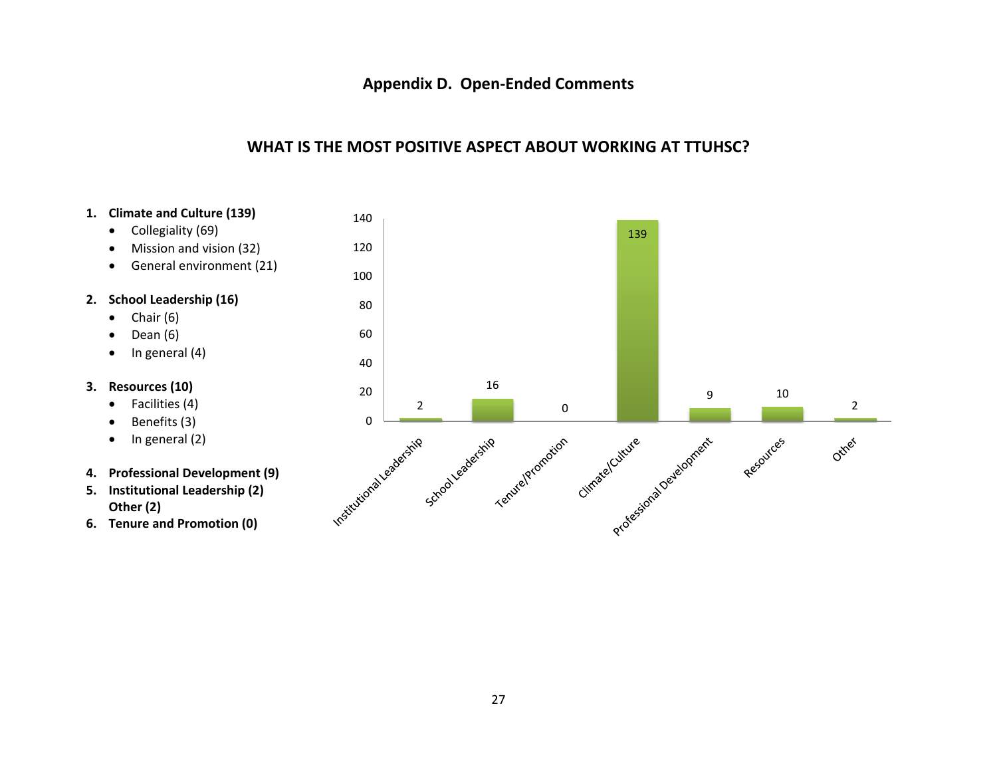### **Appendix D. Open‐Ended Comments**

#### **WHAT IS THE MOST POSITIVE ASPECT ABOUT WORKING AT TTUHSC?**

- **1. Climate and Culture (139)**
	- •Collegiality (69)
	- •Mission and vision (32)
	- •General environment (21)

#### **2. School Leadership (16)**

- •Chair (6)
- • $\bullet$  Dean (6)
- • $\bullet$  In general (4)
- **3. Resources (10)**
	- Facilities (4)
	- •Benefits (3)
	- $\bullet$  $\bullet$  In general (2)

#### **4. Professional Development (9)**

- **5. Institutional Leadership (2) Other (2)**
- **6. Tenure and Promotion (0)**